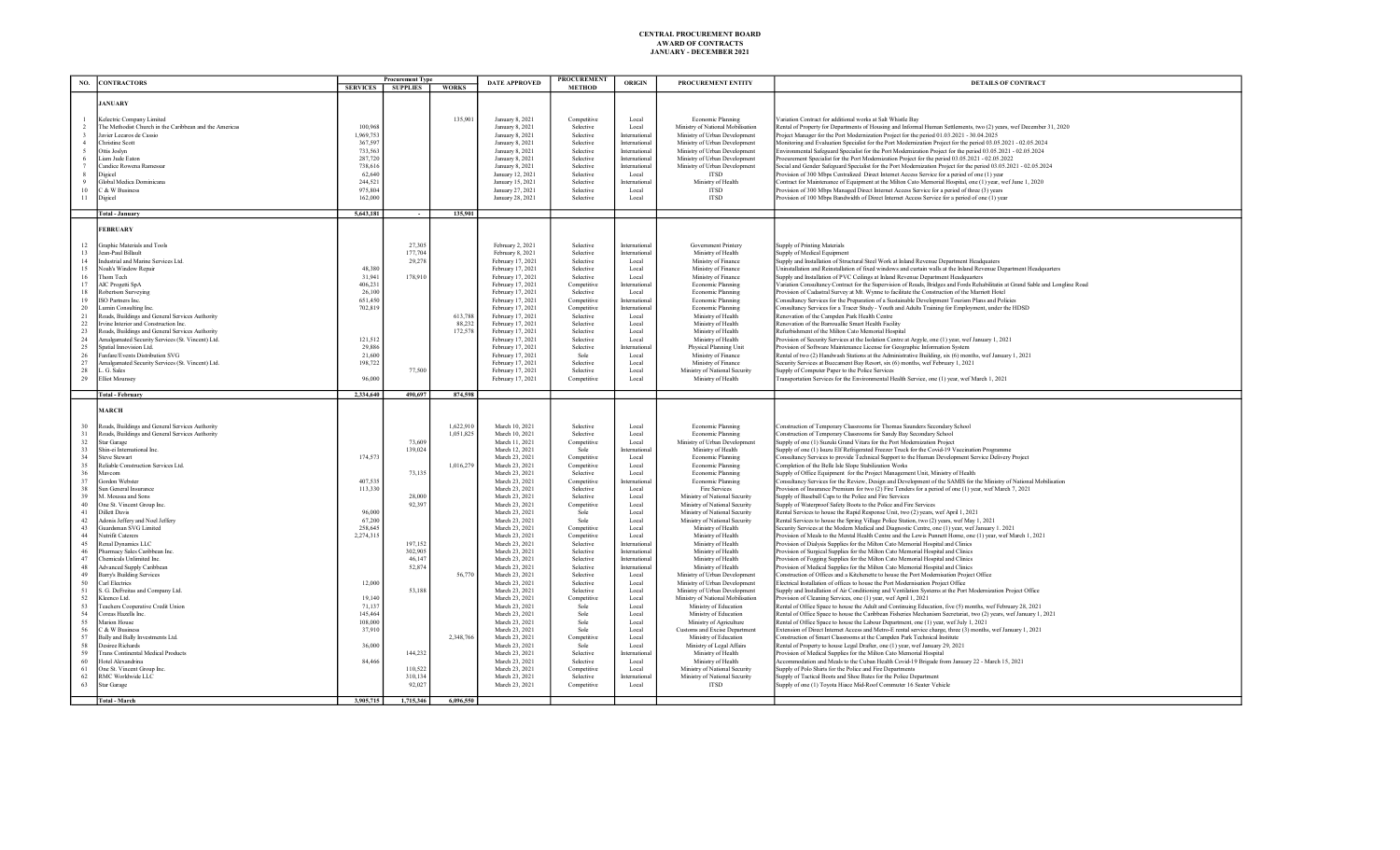| NO.      | <b>CONTRACTORS</b>                                                        |                      | <b>Procurement Type</b><br>SERVICES SUPPLIES | <b>WORKS</b> | <b>DATE APPROVED</b>                   | <b>PROCUREMENT</b><br><b>METHOD</b> | <b>ORIGIN</b>                 | PROCUREMENT ENTITY                                             | <b>DETAILS OF CONTRACT</b>                                                                                                                                                                                      |
|----------|---------------------------------------------------------------------------|----------------------|----------------------------------------------|--------------|----------------------------------------|-------------------------------------|-------------------------------|----------------------------------------------------------------|-----------------------------------------------------------------------------------------------------------------------------------------------------------------------------------------------------------------|
|          |                                                                           |                      |                                              |              |                                        |                                     |                               |                                                                |                                                                                                                                                                                                                 |
|          | <b>JANUARY</b>                                                            |                      |                                              |              |                                        |                                     |                               |                                                                |                                                                                                                                                                                                                 |
|          | Kelectric Company Limited                                                 |                      |                                              | 135,901      | January 8, 2021                        | Competitive                         | Local                         | Economic Planning                                              | ariation Contract for additional works at Salt Whistle Bay                                                                                                                                                      |
|          | The Methodist Church in the Caribbean and the Americas                    | 100.96               |                                              |              | January 8, 2021                        | Selective                           | Local                         | Ministry of National Mobilisation                              | lental of Property for Departments of Housing and Informal Human Settlements, two (2) years, wef December 31, 2020                                                                                              |
|          | avier Lecaros de Cassio<br>Christine Scott                                | 1.969,753<br>367,597 |                                              |              | January 8, 2021<br>January 8, 2021     | Selective<br>Selective              | Internationa<br>International | Ministry of Urban Development<br>Ministry of Urban Development | roject Manager for the Port Modernization Project for the period 01.03.2021 - 30.04.2025<br>Monitoring and Evaluation Specialist for the Port Modernization Project for the period 03.05.2021 - 02.05.2024      |
|          | Ottis Joslyn                                                              | 733,563              |                                              |              | January 8, 2021                        | Selective                           | International                 | Ministry of Urban Development                                  | Environmental Safeguard Specialist for the Port Modernization Project for the period 03.05.2021 - 02.05.2024                                                                                                    |
|          | .iam Jude Eaton                                                           | 287,720              |                                              |              | January 8, 2021                        | Selective                           | International                 | Ministry of Urban Development                                  | Procurement Specialist for the Port Modernization Project for the period 03.05.2021 - 02.05.2022                                                                                                                |
|          | landice Rowena Ramessa                                                    | 738,616              |                                              |              | January 8, 2021                        | Selective                           | Internationa                  | Ministry of Urban Development                                  | Social and Gender Safeguard Specialist for the Port Modernization Project for the period 03.05.2021 - 02.05.2024                                                                                                |
|          | <b>Digicel</b><br>Global Medica Dominicana                                | 62,640<br>244,521    |                                              |              | January 12, 2021<br>January 15, 2021   | Selective<br>Selective              | Local<br>Internationa         | <b>ITSD</b><br>Ministry of Health                              | rovision of 300 Mbps Centralized Direct Internet Access Service for a period of one (1) year<br>Contract for Maintenance of Equipment at the Milton Cato Memorial Hospital, one (1) year, wef June 1, 2020      |
| 10       | <b>&amp; W Business</b>                                                   | 975,804              |                                              |              | January 27, 2021                       | Selective                           | Local                         | <b>ITSD</b>                                                    | Provision of 300 Mbps Managed Direct Internet Access Service for a period of three (3) years                                                                                                                    |
| 11       | ligicel                                                                   | 162,000              |                                              |              | January 28, 2021                       | Selective                           | Local                         | <b>ITSD</b>                                                    | Provision of 100 Mbps Bandwidth of Direct Internet Access Service for a period of one (1) year                                                                                                                  |
|          | <b>Total - January</b>                                                    | 5,643,181            |                                              | 135,901      |                                        |                                     |                               |                                                                |                                                                                                                                                                                                                 |
|          |                                                                           |                      |                                              |              |                                        |                                     |                               |                                                                |                                                                                                                                                                                                                 |
|          | <b>FEBRUARY</b>                                                           |                      |                                              |              |                                        |                                     |                               |                                                                |                                                                                                                                                                                                                 |
| 12       | raphic Materials and Tools                                                |                      | 27.305                                       |              | February 2, 2021                       | Selective                           | Internationa                  | Government Printery                                            | Supply of Printing Materials                                                                                                                                                                                    |
| 13       | ean-Paul Billault                                                         |                      | 177,704                                      |              | February 8, 2021                       | Selective                           | Internations                  | Ministry of Health                                             | Supply of Medical Equipment                                                                                                                                                                                     |
| 14<br>15 | adustrial and Marine Services Ltd.<br><b>Joah's Window Repair</b>         | 48,380               | 29,278                                       |              | February 17, 2021                      | Selective<br>Selective              | Local                         | Ministry of Finance                                            | Supply and Installation of Structural Steel Work at Inland Revenue Department Headquaters<br>Ininstallation and Reinstallation of fixed windows and curtain walls at the Inland Revenue Department Headquarters |
| 16       | Thom Tech                                                                 | 31,941               | 178,910                                      |              | February 17, 2021<br>February 17, 2021 | Selective                           | Local<br>Local                | Ministry of Finance<br>Ministry of Finance                     | Supply and Installation of PVC Ceilings at Inland Revenue Department Headquarters                                                                                                                               |
| 17       | <b>MC</b> Progetti SpA                                                    | 406.231              |                                              |              | February 17, 2021                      | Competitive                         | Internationa                  | Economic Planning                                              | Tariation Consultancy Contract for the Supervision of Roads. Bridges and Fords Rehabilitatin at Grand Sable and Longline Road                                                                                   |
| 18       | obertson Surveying                                                        | 26,100               |                                              |              | February 17, 2021                      | Selective                           | Local                         | Economic Planning                                              | Provision of Cadastral Survey at Mt. Wynne to facilitate the Construction of the Marriott Hotel                                                                                                                 |
| 19<br>20 | SO Partners Inc.<br>Jumin Consulting Inc.                                 | 651,450<br>702.819   |                                              |              | February 17, 2021<br>February 17, 2021 | Competitive<br>Competitive          | Internationa<br>Internations  | Economic Planning<br>Economic Planning                         | Consultancy Services for the Preparation of a Sustainable Development Tourism Plans and Policies<br>Consultancy Services for a Tracer Study - Youth and Adults Training for Employment, under the HDSD          |
| 21       | Roads, Buildings and General Services Authority                           |                      |                                              | 613,788      | February 17, 2021                      | Selective                           | Local                         | Ministry of Health                                             | Renovation of the Campden Park Health Centre                                                                                                                                                                    |
| 22       | Irvine Interior and Construction Inc.                                     |                      |                                              | 88,232       | February 17, 2021                      | Selective                           | Local                         | Ministry of Health                                             | Renovation of the Barrouallie Smart Health Facility                                                                                                                                                             |
| 23       | Roads, Buildings and General Services Authority                           |                      |                                              | 172,578      | February 17, 2021                      | Selective                           | Local                         | Ministry of Health                                             | Refurbishment of the Milton Cato Memorial Hospital                                                                                                                                                              |
| 24<br>25 | amlgamated Security Services (St. Vincent) Ltd.<br>patial Innovision Ltd. | 121,512<br>29,886    |                                              |              | February 17, 2021<br>February 17, 2021 | Selective<br>Selective              | Local<br>Internationa         | Ministry of Health<br>Physical Planning Unit                   | Provision of Security Services at the Isolation Centre at Argyle, one (1) year, wef January 1, 2021<br>rovision of Software Maintenance License for Geographic Information System                               |
| $26\,$   | anfare/Events Distribution SVG                                            | 21,600               |                                              |              | February 17, 2021                      | Sole                                | Local                         | Ministry of Finance                                            | Rental of two (2) Handwash Stations at the Administrative Building, six (6) months, wef January 1, 2021                                                                                                         |
| 27       | amlgamated Security Services (St. Vincent) Ltd.                           | 198,722              |                                              |              | February 17, 2021                      | Selective                           | Local                         | Ministry of Finance                                            | Security Services at Buccament Bay Resort, six (6) months, wef February 1, 2021                                                                                                                                 |
| 28       | . G. Sales                                                                |                      | 77,500                                       |              | February 17, 2021                      | Selective                           | Local                         | Ministry of National Security                                  | Supply of Computer Paper to the Police Services                                                                                                                                                                 |
| 29       | <b>Elliot Mounsey</b>                                                     | 96,000               |                                              |              | February 17, 2021                      | Competitive                         | Local                         | Ministry of Health                                             | Transportation Services for the Environmental Health Service, one (1) year, wef March 1, 2021                                                                                                                   |
|          | <b>Total - February</b>                                                   | 2,334,640            | 490,697                                      | 874,598      |                                        |                                     |                               |                                                                |                                                                                                                                                                                                                 |
|          | <b>MARCH</b>                                                              |                      |                                              |              |                                        |                                     |                               |                                                                |                                                                                                                                                                                                                 |
|          | Roads, Buildings and General Services Authority                           |                      |                                              | 1,622,910    | March 10, 2021                         | Selective                           | Local                         | Economic Planning                                              | Construction of Temporary Classrooms for Thomas Saunders Secondary School                                                                                                                                       |
| 31       | Roads, Buildings and General Services Authority                           |                      |                                              | 1,051,825    | March 10, 2021                         | Selective                           | Local                         | Economic Planning                                              | Construction of Temporary Classrooms for Sandy Bay Secondary School                                                                                                                                             |
| 32       | Star Garage                                                               |                      | 73,609                                       |              | March 11, 2021                         | Competitive                         | Local                         | Ministry of Urban Development                                  | Supply of one (1) Suzuki Grand Vitara for the Port Modernization Project                                                                                                                                        |
| 33<br>34 | shin-ei International Inc.<br>teve Stewart                                | 174,573              | 139,024                                      |              | March 12, 2021<br>March 23, 2021       | Sole                                | Internationa                  | Ministry of Health<br>Economic Planning                        | Supply of one (1) Isuzu Elf Refrigerated Freezer Truck for the Covid-19 Vaccination Programme                                                                                                                   |
| 35       | eliable Construction Services Ltd.                                        |                      |                                              | 1.016.279    | March 23, 2021                         | Competitive<br>Competitive          | Local<br>Local                | Economic Planning                                              | Consultancy Services to provide Technical Support to the Human Development Service Delivery Project<br>Completion of the Belle Isle Slope Stabilization Works                                                   |
| 36       | Maycom                                                                    |                      | 73.135                                       |              | March 23, 2021                         | Selective                           | Local                         | Economic Planning                                              | Supply of Office Equipment for the Project Management Unit, Ministry of Health                                                                                                                                  |
| 37       | Gordon Webster                                                            | 407.535              |                                              |              | March 23, 2021                         | Competitive                         | Internationa                  | Economic Planning                                              | Consultancy Services for the Review, Design and Development of the SAMIS for the Ministry of National Mobilisation                                                                                              |
| 38<br>39 | un General Insurance<br>J. Moussa and Sons                                | 113,330              | 28.000                                       |              | March 23, 2021<br>March 23, 2021       | Selective<br>Selective              | Local<br>Local                | Fire Services<br>Ministry of National Security                 | Provision of Insurance Premium for two (2) Fire Tenders for a period of one (1) year, wef March 7, 2021<br>Supply of Baseball Caps to the Police and Fire Services                                              |
| 40       | ne St. Vincent Group Inc.                                                 |                      | 92.397                                       |              | March 23, 2021                         | Competitive                         | Local                         | Ministry of National Security                                  | Supply of Waterproof Safety Boots to the Police and Fire Services                                                                                                                                               |
| 41       | Dillett Davis                                                             | 96,000               |                                              |              | March 23, 2021                         | Sole                                | Local                         | Ministry of National Security                                  | Rental Services to house the Rapid Response Unit, two (2) years, wef April 1, 2021                                                                                                                              |
| 42       | Adonis Jeffery and Noel Jeffery                                           | 67,200               |                                              |              | March 23, 2021                         | Sole                                | Local                         | Ministry of National Security                                  | Rental Services to house the Spring Village Police Station, two (2) years, wef May 1, 2021                                                                                                                      |
| 43<br>44 | uardsman SVG Limited<br><b>Jutrifit Caterers</b>                          | 258,645<br>2,274,315 |                                              |              | March 23, 2021<br>March 23, 2021       | Competitive<br>Competitive          | Local<br>Local                | Ministry of Health<br>Ministry of Health                       | Security Services at the Modern Medical and Diagnostic Centre, one (1) year, wef January 1. 2021<br>Provision of Meals to the Mental Health Centre and the Lewis Punnett Home, one (1) year, wef March 1, 2021  |
| 45       | Renal Dynamics LLC                                                        |                      | 197,152                                      |              | March 23, 2021                         | Selective                           | Internationa                  | Ministry of Health                                             | Provision of Dialysis Supplies for the Milton Cato Memorial Hospital and Clinics                                                                                                                                |
| 46       | harmacy Sales Caribbean Inc.                                              |                      | 302,905                                      |              | March 23, 2021                         | Selective                           | Internations                  | Ministry of Health                                             | Provision of Surgical Supplies for the Milton Cato Memorial Hospital and Clinics                                                                                                                                |
| 47       | hemicals Unlimited Inc.                                                   |                      | 46.147                                       |              | March 23, 2021                         | Selective                           | Internationa                  | Ministry of Health                                             | Provision of Fogging Supplies for the Milton Cato Memorial Hospital and Clinics                                                                                                                                 |
| 48<br>49 | dvanced Supply Caribbean<br>arry's Building Services                      |                      | 52,874                                       | 56.770       | March 23, 2021<br>March 23, 2021       | Selective<br>Selective              | Internationa<br>Local         | Ministry of Health<br>Ministry of Urban Development            | Provision of Medical Supplies for the Milton Cato Memorial Hospital and Clinics<br>Construction of Offices and a Kitchenette to house the Port Modernisation Project Office                                     |
| 50       | Carl Electrics                                                            | 12,000               |                                              |              | March 23, 2021                         | Selective                           | Local                         | Ministry of Urban Development                                  | Electrical Installation of offices to house the Port Modernisation Project Office                                                                                                                               |
| 51       | G. DeFreitas and Company Ltd.                                             |                      | 53,188                                       |              | March 23, 2021                         | Selective                           | Local                         | Ministry of Urban Development                                  | Supply and Installation of Air Conditioning and Ventilation Systems at the Port Modernization Project Office                                                                                                    |
| 52<br>53 | Kleenco Ltd.<br>eachers Cooperative Credit Union                          | 19,140<br>71.137     |                                              |              | March 23, 2021<br>March 23, 2021       | Competitive<br>Sole                 | Local<br>Local                | Ministry of National Mobilisation<br>Ministry of Education     | Provision of Cleaning Services, one (1) year, wef April 1, 2021<br>Rental of Office Space to house the Adult and Continuing Education, five (5) months, wef February 28, 2021                                   |
| 54       | oreas Hazells Inc                                                         | 145,464              |                                              |              | March 23, 2021                         | Sole                                | Local                         | Ministry of Education                                          | Rental of Office Space to house the Caribbean Fisheries Mechanism Secretariat, two (2) years, wef January 1, 2021                                                                                               |
| 55       | Marion House                                                              | 108,000              |                                              |              | March 23, 2021                         | Sole                                | Local                         | Ministry of Agriculture                                        | Rental of Office Space to house the Labour Department, one (1) year, wef July 1, 2021                                                                                                                           |
| 56       | & W Business                                                              | 37,910               |                                              |              | March 23, 2021                         | Sole                                | Local                         | Customs and Excise Department                                  | Extension of Direct Internet Access and Metro-E rental service charge, three (3) months, wef January 1, 2021                                                                                                    |
| 57<br>58 | Bally and Bally Investments Ltd.<br>Desiree Richards                      | 36,000               |                                              | 2.348,766    | March 23, 2021<br>March 23, 2021       | Competitive<br>Sole                 | Local<br>Local                | Ministry of Education<br>Ministry of Legal Affairs             | Construction of Smart Classrooms at the Campden Park Technical Institute<br>Rental of Property to house Legal Drafter, one (1) year, wef January 29, 2021                                                       |
| 59       | rans Continental Medical Products                                         |                      | 144,232                                      |              | March 23, 2021                         | Selective                           | Internations                  | Ministry of Health                                             | Provision of Medical Supplies for the Milton Cato Memorial Hospital                                                                                                                                             |
| 60       |                                                                           | 84,466               |                                              |              | March 23, 2021                         | Selective                           | Local                         | Ministry of Health                                             | accommodation and Meals to the Cuban Health Covid-19 Brigade from January 22 - March 15, 2021                                                                                                                   |
|          | Iotel Alexandrina                                                         |                      |                                              |              |                                        |                                     |                               |                                                                |                                                                                                                                                                                                                 |
| 61       | One St. Vincent Group Inc.                                                |                      | 110,522                                      |              | March 23, 2021                         | Competitive                         | Local                         | Ministry of National Security                                  | Supply of Polo Shirts for the Police and Fire Departments                                                                                                                                                       |
| 62       | RMC Worldwide LLC                                                         |                      | 310,134<br>92.027                            |              | March 23, 2021                         | Selective                           | Internationa                  | Ministry of National Security                                  | Supply of Tactical Boots and Shoe Bates for the Police Department                                                                                                                                               |
| 63       | Star Garage                                                               |                      |                                              | 6,096,550    | March 23, 2021                         | Competitive                         | Local                         | <b>ITSD</b>                                                    | Supply of one (1) Toyota Hiace Mid-Roof Commuter 16 Seater Vehicle                                                                                                                                              |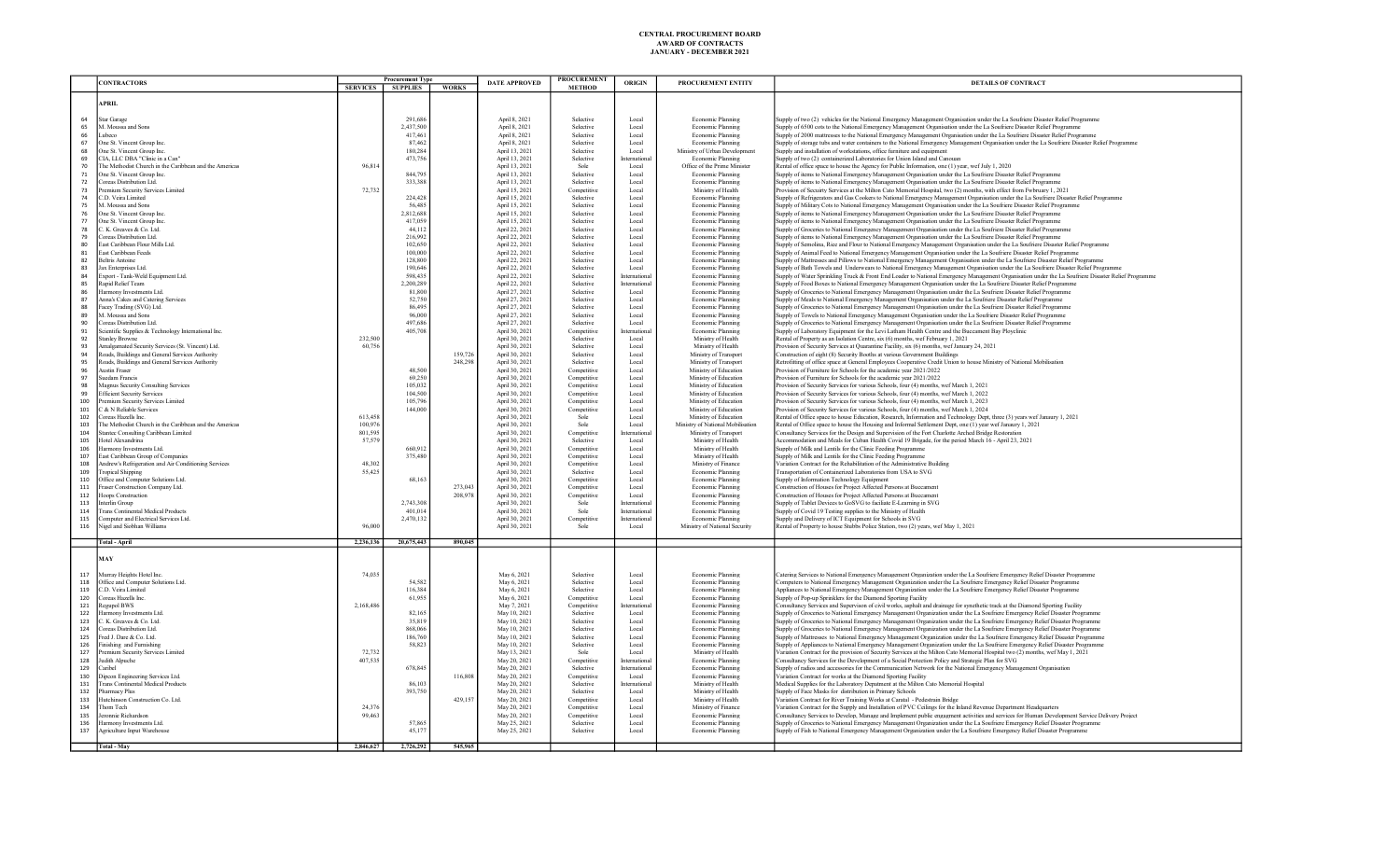|            | <b>CONTRACTORS</b>                                                                |           | <b>Procurement Type</b> |              | <b>DATE APPROVED</b>             | <b>PROCUREMENT</b> | <b>ORIGIN</b>       | PROCUREMENT ENTITY                | DETAILS OF CONTRACT                                                                                                                                |
|------------|-----------------------------------------------------------------------------------|-----------|-------------------------|--------------|----------------------------------|--------------------|---------------------|-----------------------------------|----------------------------------------------------------------------------------------------------------------------------------------------------|
|            |                                                                                   |           | SERVICES SUPPLIES       | <b>WORKS</b> |                                  | <b>METHOD</b>      |                     |                                   |                                                                                                                                                    |
|            |                                                                                   |           |                         |              |                                  |                    |                     |                                   |                                                                                                                                                    |
|            | <b>APRIL</b>                                                                      |           |                         |              |                                  |                    |                     |                                   |                                                                                                                                                    |
|            |                                                                                   |           |                         |              |                                  |                    |                     |                                   |                                                                                                                                                    |
| 64         | <b>Star Garage</b>                                                                |           | 291,686                 |              | April 8, 2021                    | Selective          | Local               | Economic Planning                 | Supply of two (2) vehicles for the National Emergency Management Organisation under the La Soufriere Disaster Relief Programme                     |
| 65         | M. Moussa and Sons                                                                |           | 2,437,500               |              | April 8, 2021                    | Selective          | Local               | Economic Planning                 | Supply of 6500 cots to the National Emergency Management Organisation under the La Soufriere Disaster Relief Programme                             |
| 66         | inheco                                                                            |           | 417.461                 |              | April 8, 2021                    | Selective          | Local               | Economic Planning                 | Supply of 2000 mattresses to the National Emergency Management Organisation under the La Soufriere Disaster Relief Programme                       |
| 67         | One St. Vincent Group Inc.                                                        |           | 87.462                  |              | April 8, 2021                    | Selective          | Local               | Economic Planning                 | Supply of storage tubs and water containers to the National Emergency Management Organisation under the La Soufriere Disaster Relief Programme     |
| 68         | One St. Vincent Group Inc.                                                        |           | 180.284                 |              | April 13, 2021                   | Selective          | Local               | Ministry of Urban Development     | Supply and installation of workstations, office furniture and equipment                                                                            |
| 69         | CIA, LLC DBA "Clinic in a Can"                                                    |           | 473,756                 |              | April 13, 2021                   | Selective          | International       | Economic Planning                 | Supply of two (2) containerized Laboratories for Union Island and Canouan                                                                          |
| 70         | The Methodist Church in the Caribbean and the Americas                            | 96,814    |                         |              | April 13, 2021                   | Sole               | Local               | Office of the Prime Minister      | Rental of office space to house the Agency for Public Information, one (1) year, wef July 1, 2020                                                  |
| 71         | One St. Vincent Group Inc.                                                        |           | 844.795                 |              | April 13, 2021                   | Selective          | Local               | Economic Planning                 | Supply of items to National Emergency Management Organisation under the La Soufriere Disaster Relief Programme                                     |
| 72         | Coreas Distribution Ltd.                                                          |           | 333,388                 |              | April 13, 2021                   | Selective          | Local               | Economic Planning                 | Supply of items to National Emergency Management Organisation under the La Soufriere Disaster Relief Programme                                     |
| 73         | Premium Security Services Limited                                                 | 72,732    |                         |              | April 15, 2021                   | Competitive        | Local               | Ministry of Health                | Provision of Secuirty Services at the Milton Cato Memorial Hospital, two (2) months, with effect from Fwbruary 1, 2021                             |
| 74         | C.D. Veira Limited                                                                |           | 224,428                 |              | April 15, 2021                   | Selective          | Local               | Economic Planning                 | Supply of Refrigerators and Gas Cookers to National Emergency Management Organisation under the La Soufriere Disaster Relief Programme             |
| 75         | M. Mousea and Sons                                                                |           | 56.485                  |              | April 15, 2021                   | Selective          | Local               | Economic Planning                 | Supply of Military Cots to National Emergency Management Organisation under the La Soufriere Disaster Relief Programme                             |
| 76         | One St. Vincent Group Inc                                                         |           | 2,812,688               |              | April 15, 2021                   | Selective          | Local               | Economic Planning                 | Supply of items to National Emergency Management Organisation under the La Soufriere Disaster Relief Programme                                     |
| 77         | One St. Vincent Group Inc.                                                        |           | 417.059                 |              | April 15, 2021                   | Selective          | Local               | Economic Planning                 | Supply of items to National Emergency Management Organisation under the La Soufriere Disaster Relief Programme                                     |
| 78         | C. K. Greaves & Co. Ltd.                                                          |           | 44,112                  |              | April 22, 2021                   | Selective          | Local               | Economic Planning                 | Supply of Groceries to National Emergency Management Organisation under the La Soufriere Disaster Relief Programme                                 |
| 79         | Coreas Distribution Ltd.                                                          |           | 216.992                 |              | April 22, 2021                   | Selective          | Local               | Economic Planning                 | Supply of items to National Emergency Management Organisation under the La Soufriere Disaster Relief Programme                                     |
| 80         | last Caribbean Flour Mills Ltd.                                                   |           | 102,650                 |              | April 22, 2021                   | Selective          | Local               | Economic Planning                 | Supply of Semolina, Rice and Flour to National Emergency Management Organisation under the La Soufriere Disaster Relief Programme                  |
| 81         | East Caribbean Feeds                                                              |           | 100.000                 |              | April 22, 2021                   | Selective          | Local               | Economic Planning                 | Supply of Animal Feed to National Emergency Management Organisation under the La Soufriere Disaster Relief Programme                               |
| 82         | <b>Beltris Antoine</b>                                                            |           | 128,800                 |              | April 22, 2021                   | Selective          | Local               | Economic Planning                 | Supply of Mattresses and Pillows to National Emergency Management Organisation under the La Soufriere Disaster Relief Programme                    |
| 83         | Jax Enterprises Ltd                                                               |           | 190,646                 |              | April 22, 2021                   | Selective          | Local               | Economic Planning                 | Supply of Bath Towels and Underwears to National Emergency Management Organisation under the La Soufriere Disaster Relief Programme                |
| 84         | Export - Tank-Weld Equipment Ltd.                                                 |           | 598,435                 |              | April 22, 2021                   | Selective          | Internationa        | Economic Planning                 | Supply of Water Sprinkling Truck & Front End Loader to National Emergency Management Organisation under the La Soufriere Disaster Relief Programme |
| 85         | Rapid Relief Team                                                                 |           | 2,200,289               |              | April 22, 2021                   | Selective          | International       | Economic Planning                 | Supply of Food Boxes to National Emergency Management Organisation under the La Soufriere Disaster Relief Programme                                |
| 86         | Harmony Investments Ltd.                                                          |           | 81,800                  |              | April 27, 2021                   | Selective          | Local               | Economic Planning                 | Supply of Groceries to National Emergency Management Organisation under the La Soufriere Disaster Relief Programme                                 |
| 87         | Anna's Cakes and Catering Services                                                |           | 52,750                  |              | April 27, 2021                   | Selective          | Local               | Economic Planning                 | Supply of Meals to National Emergency Management Organisation under the La Soufriere Disaster Relief Programme                                     |
| 88         | Facey Trading (SVG) Ltd.                                                          |           | 86.49*                  |              | April 27, 2021                   | Selective          | Local               | Economic Planning                 | Supply of Groceries to National Emergency Management Organisation under the La Soufriere Disaster Relief Programme                                 |
| 89         | M. Moussa and Sons                                                                |           | 96,000                  |              | April 27, 2021                   | Selective          | Local               | Economic Planning                 | Supply of Towels to National Emergency Management Organisation under the La Soufriere Disaster Relief Programme                                    |
| 90         | <b>Coreas Distribution Ltd</b>                                                    |           | 497,686                 |              | April 27, 2021                   | Selective          | Local               | Economic Planning                 | Supply of Groceries to National Emergency Management Organisation under the La Soufriere Disaster Relief Programme                                 |
| 91         | Scientific Supplies & Technology International Inc.                               |           | 405.708                 |              | April 30, 2021                   | Competitive        | International       | Economic Planning                 | Supply of Laboratory Equipment for the Levi Latham Health Centre and the Buccament Bay Ployclinic                                                  |
| 92         | Stanley Browne                                                                    | 232.500   |                         |              | April 30, 2021                   | Selective          | Local               | Ministry of Health                | Rental of Property as an Isolation Centre, six (6) months, wef February 1, 2021                                                                    |
| 93         | Amaloamated Security Services (St. Vincent) Ltd.                                  | 60.756    |                         |              | April 30, 2021                   | Selective          | Local               | Ministry of Health                | Provision of Security Services at Quarantine Facility, six (6) months, wef January 24, 2021                                                        |
| 94         | Roads, Buildings and General Services Authority                                   |           |                         | 159,726      | April 30, 2021                   | Selective          | Local               | Ministry of Transpor              | Construction of eight (8) Security Booths at various Government Buildings                                                                          |
| 95         | Roads. Buildinos and General Services Authority                                   |           |                         | 248,298      | April 30, 2021                   | Selective          | Local               | Ministry of Transport             | Retrofitting of office space at General Employees Cooperative Credit Union to house Ministry of National Mobilisation                              |
| 96         | <b>Austin Fraser</b>                                                              |           | 48,500                  |              | April 30, 2021                   | Competitive        | Local               | Ministry of Education             | Provision of Furniture for Schools for the academic year 2021/2022                                                                                 |
| 97         | Suedam Francis                                                                    |           | 69,250                  |              | April 30, 2021                   | Competitive        | Local               | Ministry of Education             | Provision of Furniture for Schools for the academic year 2021/2022                                                                                 |
| 98         | Magnus Security Consulting Services                                               |           | 105,032                 |              | April 30, 2021                   | Competitive        | Local               | Ministry of Education             | Provision of Security Services for various Schools, four (4) months, wef March 1, 2021                                                             |
| 99         | <b>Efficient Security Services</b>                                                |           | 104.500                 |              | April 30, 2021                   | Competitive        | Local               | Ministry of Education             | Provision of Security Services for various Schools, four (4) months, wef March 1, 2022                                                             |
| 100        | Premium Security Services Limited                                                 |           | 105.796                 |              | April 30, 2021                   | Competitive        | Local               | Ministry of Education             | Provision of Security Services for various Schools, four (4) months, wef March 1, 2023                                                             |
| 101        | & N Reliable Services                                                             |           | 144,000                 |              | April 30, 2021                   | Competitive        | Local               | Ministry of Education             | Provision of Security Services for various Schools, four (4) months, wef March 1, 2024                                                             |
| 102        | <b>Coreas Hazells Inc.</b>                                                        | 613,458   |                         |              | April 30, 2021                   | Sole               | Local               | Ministry of Education             | Rental of Office space to house Education, Research, Information and Technology Dept, three (3) years wef Janaury 1, 2021                          |
| 103        | The Methodist Church in the Caribbean and the Americas                            | 100,976   |                         |              | April 30, 2021                   | Sole               | Local               | Ministry of National Mobilisation | Rental of Office space to house the Housing and Informal Settlement Dept, one (1) year wef Janaury 1, 2021                                         |
| 104        | Stantec Consulting Caribbean Limited                                              | 801.595   |                         |              | April 30, 2021                   | Competitive        | International       | Ministry of Transport             | Consultancy Services for the Design and Supervision of the Fort Charlotte Arched Bridge Restoration                                                |
| 105        | <b>Iotel Alexandrina</b>                                                          | 57,579    |                         |              | April 30, 2021                   | Selective          | Local               | Ministry of Health                | Accommodation and Meals for Cuban Health Covid 19 Brigade, for the period March 16 - April 23, 2021                                                |
| 106        | Harmony Investments Ltd.                                                          |           | 660.912                 |              | April 30, 2021                   | Competitive        | Local               | Ministry of Health                | Supply of Milk and Lentils for the Clinic Feeding Programme                                                                                        |
| 107        | East Caribbean Group of Companies                                                 |           | 375,480                 |              | April 30, 2021                   | Competitive        | Local               | Ministry of Health                | Supply of Milk and Lentils for the Clinic Feeding Programme                                                                                        |
| 108        | Andrew's Refrigeration and Air Conditioning Services                              | 48,302    |                         |              | April 30, 2021                   | Competitive        | Local               | Ministry of Finance               | Variation Contract for the Rehabilitation of the Administrative Building                                                                           |
|            |                                                                                   | 55,425    |                         |              | April 30, 2021                   | Selective          |                     | Economic Planning                 | Transportation of Containerized Laboratories from USA to SVG                                                                                       |
| 109<br>110 | <b>Tropical Shipping</b><br>Office and Computer Solutions Ltd.                    |           | 68,163                  |              | April 30, 2021                   | Competitive        | Local<br>Local      | Economic Planning                 | Supply of Information Technology Equipment                                                                                                         |
|            |                                                                                   |           |                         | 273.043      |                                  |                    | Local               |                                   |                                                                                                                                                    |
| 111        | Fraser Construction Company Ltd.                                                  |           |                         |              | April 30, 2021                   | Competitive        |                     | Economic Planning                 | Construction of Houses for Project Affected Persons at Buccament                                                                                   |
| 112        | <b>Toops Construction</b>                                                         |           |                         | 208.97       | April 30, 2021                   | Competitive        | Local               | Economic Planning                 | Construction of Houses for Project Affected Persons at Buccamen                                                                                    |
| 113        | Interlin Group                                                                    |           | 2.743.308               |              | April 30, 2021                   | Sole               | <b>Internationa</b> | Economic Planning                 | Supply of Tablet Devices to GoSVG to faciliate E-Learning in SVG                                                                                   |
| 114<br>115 | <b>Trans Continental Medical Products</b><br>Computer and Electrical Services Ltd |           | 401,014                 |              | April 30, 2021<br>April 30, 2021 | Sole               | International       | Economic Planning                 | Supply of Covid 19 Testing supplies to the Ministry of Health<br>Supply and Delivery of ICT Equipment for Schools in SVG                           |
|            |                                                                                   |           | 2,470,132               |              |                                  | Comnetitive        | International       | Economic Planning                 |                                                                                                                                                    |
| 116        | Nigel and Siobhan Williams                                                        | 96,000    |                         |              | April 30, 2021                   | Sole               | Local               | Ministry of National Security     | Rental of Property to house Stubbs Police Station, two (2) years, wef May 1, 2021                                                                  |
|            |                                                                                   |           | 20.675.443              | 890.045      |                                  |                    |                     |                                   |                                                                                                                                                    |
|            | <b>Total - April</b>                                                              | 2,236,136 |                         |              |                                  |                    |                     |                                   |                                                                                                                                                    |
|            | MAY                                                                               |           |                         |              |                                  |                    |                     |                                   |                                                                                                                                                    |
|            |                                                                                   |           |                         |              |                                  |                    |                     |                                   |                                                                                                                                                    |
| 117        | Murray Heights Hotel Inc.                                                         | 74.03:    |                         |              | May 6, 2021                      | Selective          | Local               | Economic Planning                 | Catering Services to National Emergency Management Organization under the La Soufriere Emergency Relief Disaster Programme                         |
| 118        | Office and Computer Solutions Ltd.                                                |           | 54,582                  |              | May 6, 2021                      | Selective          | Local               | Economic Planning                 | Computers to National Emergency Management Organization under the La Soufriere Emergency Relief Disaster Programme                                 |
| 119        | C.D. Veira Limited                                                                |           | 116,384                 |              | May 6, 2021                      | Selective          | Local               | Economic Planning                 | Appliances to National Emergency Management Organization under the La Soufriere Emergency Relief Disaster Programme                                |
| 120        | Coreas Hazells Inc.                                                               |           | 61,955                  |              | May 6, 2021                      | Competitive        | Local               | Economic Planning                 | Supply of Pop-up Sprinklers for the Diamond Sporting Facility                                                                                      |
| 121        | Regupol BWS                                                                       | 2.168.486 |                         |              | May 7, 2021                      | Competitive        | International       | Economic Planning                 | Consultancy Services and Supervison of civil works, asphalt and drainage for synethetic track at the Diamond Sporting Facility                     |
| 122        | <b>Harmony Investments Ltd.</b>                                                   |           | 82,165                  |              | May 10, 2021                     | Selective          | Local               | Economic Planning                 | Supply of Groceries to National Emergency Management Organization under the La Soufriere Emergency Relief Disaster Programme                       |
| 123        | C. K. Greaves & Co. Ltd.                                                          |           | 35.819                  |              | May 10, 2021                     | Selective          | Local               | Economic Planning                 | Supply of Groceries to National Emergency Management Organization under the La Soufriere Emergency Relief Disaster Programme                       |
| 124        | Coreas Distribution Ltd.                                                          |           | 868,066                 |              | May 10, 2021                     | Selective          | Local               | Economic Planning                 | Supply of Groceries to National Emergency Management Organization under the La Soufriere Emergency Relief Disaster Programme                       |
| 125        | Fred J. Dare & Co. Ltd.                                                           |           | 186,760                 |              | May 10, 2021                     | Selective          | Local               | Economic Planning                 | Supply of Mattresses to National Emergency Management Organization under the La Soufriere Emergency Relief Disaster Programme                      |
| 126        | inishing and Furnishing                                                           |           | 58,823                  |              | May 10, 2021                     | Selective          | Local               | Economic Planning                 | Supply of Appliances to National Emergency Management Organization under the La Soufriere Emergency Relief Disaster Programme                      |
| 127        | Premium Security Services Limited                                                 | 72,732    |                         |              | May 13, 2021                     | Sole               | Local               | Ministry of Health                | Variation Contract for the provision of Security Services at the Milton Cato Memorial Hospital two (2) months, wef May 1, 2021                     |
| 128        | Judith Alpuche                                                                    | 407,535   |                         |              | May 20, 2021                     | Competitive        | International       | Economic Planning                 | Consultancy Services for the Development of a Social Protection Policy and Strategic Plan for SVG                                                  |
| 129        | Caribel                                                                           |           | 678,845                 |              | May 20, 2021                     | Selective          | International       | Economic Planning                 | Supply of radios and accessories for the Communication Network for the National Emergency Management Organisation                                  |
| 130        | Dincon Engineering Services Ltd                                                   |           |                         | 116.808      | May 20, 2021                     | Competitive        | Local               | Economic Planning                 | Variation Contract for works at the Diamond Sporting Facility                                                                                      |
| 131        | <b>Trans Continental Medical Products</b>                                         |           | 86,103                  |              | May 20, 2021                     | Selective          | International       | Ministry of Health                | Medical Supplies for the Laboratory Depatment at the Milton Cato Memorial Hospital                                                                 |
| 132        | Pharmacy Plus                                                                     |           | 393,750                 |              | May 20, 2021                     | Selective          | Local               | Ministry of Health                | Supply of Face Masks for distribution in Primary Schools                                                                                           |
| 133        | Hutchinson Construction Co. Ltd                                                   |           |                         | 429,157      | May 20, 2021                     | Competitive        | Local               | Ministry of Health                | Variation Contract for River Training Works at Caratal - Pedestrain Bridge                                                                         |
| 134        | Thom Tech                                                                         | 24,376    |                         |              | May 20, 2021                     | Competitive        | Local               | Ministry of Finance               | Variation Contract for the Supply and Installation of PVC Ceilings for the Inland Revenue Department Headquarters                                  |
| 135        | Jeronnie Richardson                                                               | 99.463    |                         |              | May 20, 2021                     | Competitive        | Local               | Economic Planning                 | Consultancy Services to Develop, Manage and Implement public engagment activities and services for Human Development Service Delivery Project      |
| 136        | Harmony Investments Ltd.                                                          |           | 57,865                  |              | May 25, 2021                     | Selective          | Local               | Economic Planning                 | Supply of Groceries to National Emergency Management Organization under the La Soufriere Emergency Relief Disaster Programme                       |
| 137        | Agriculture Input Warehouse                                                       |           | 45.177                  |              | May 25, 2021                     | Selective          | Local               | Economic Planning                 | Supply of Fish to National Emergency Management Organization under the La Soufriere Emergency Relief Disaster Programme                            |
|            |                                                                                   |           |                         |              |                                  |                    |                     |                                   |                                                                                                                                                    |
|            | Total - May                                                                       | 2.846,627 | 2,726,292               | 545,965      |                                  |                    |                     |                                   |                                                                                                                                                    |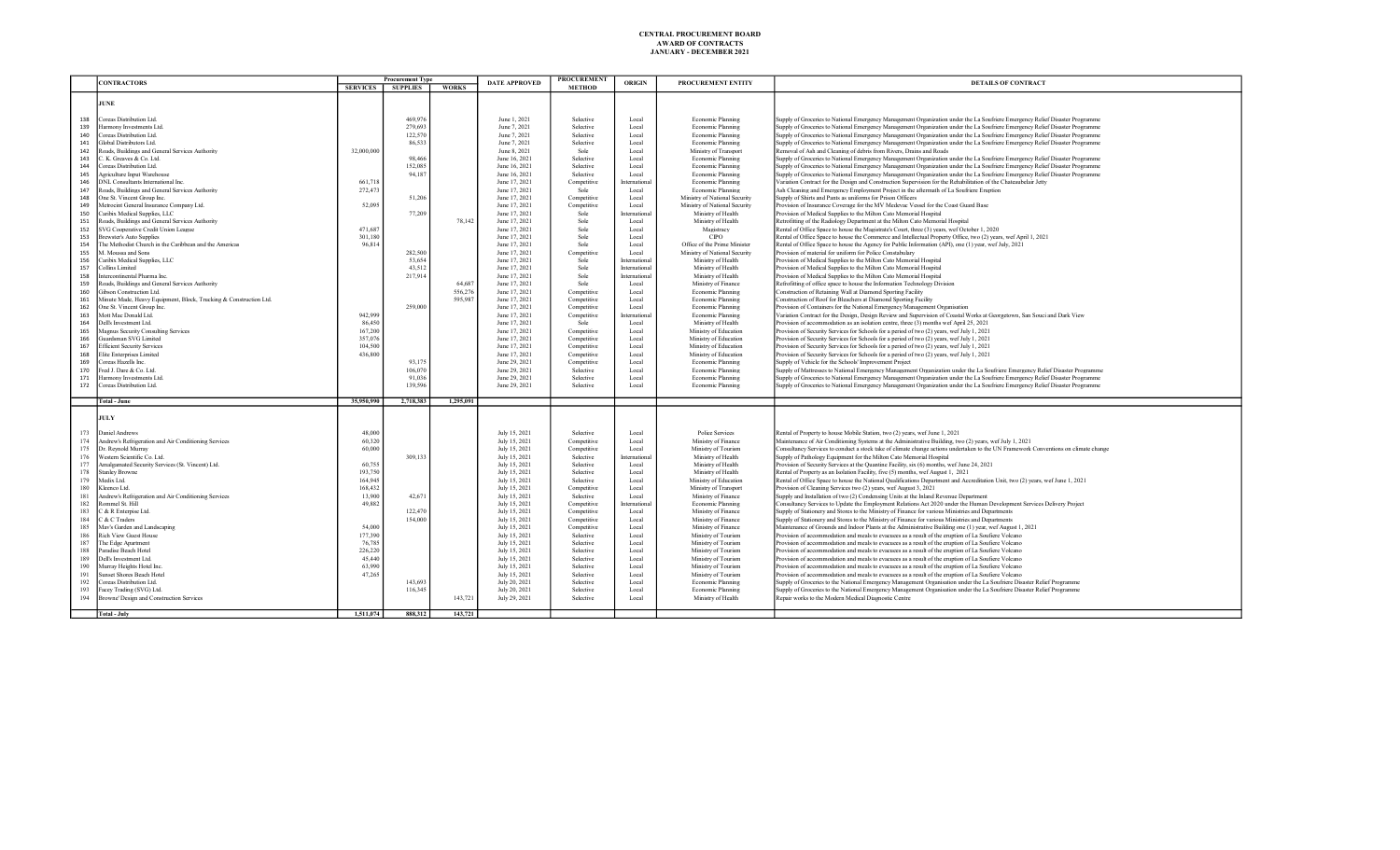|     |                                                                   | <b>Procurement Type</b> |                 |              | <b>PROCUREMENT</b>   |               |               |                               |                                                                                                                                     |
|-----|-------------------------------------------------------------------|-------------------------|-----------------|--------------|----------------------|---------------|---------------|-------------------------------|-------------------------------------------------------------------------------------------------------------------------------------|
|     | <b>CONTRACTORS</b>                                                | <b>SERVICES</b>         | <b>SUPPLIES</b> | <b>WORKS</b> | <b>DATE APPROVED</b> | <b>METHOD</b> | <b>ORIGIN</b> | PROCUREMENT ENTITY            | DETAILS OF CONTRACT                                                                                                                 |
|     |                                                                   |                         |                 |              |                      |               |               |                               |                                                                                                                                     |
|     | JUNE                                                              |                         |                 |              |                      |               |               |                               |                                                                                                                                     |
|     |                                                                   |                         |                 |              |                      |               |               |                               |                                                                                                                                     |
| 138 | Coreas Distribution Ltd.                                          |                         | 469,976         |              | June 1, 2021         | Selective     | Local         | Economic Planning             | Supply of Groceries to National Emergency Management Organization under the La Soufriere Emergency Relief Disaster Programme        |
|     |                                                                   |                         | 279,693         |              | June 7, 2021         |               |               |                               |                                                                                                                                     |
| 139 | Harmony Investments Ltd.                                          |                         |                 |              |                      | Selective     | Local         | Economic Planning             | Supply of Groceries to National Emergency Management Organization under the La Soufriere Emergency Relief Disaster Programme        |
| 140 | Coreas Distribution Ltd.                                          |                         | 122,570         |              | June 7, 2021         | Selective     | Local         | Economic Planning             | Supply of Groceries to National Emergency Management Organization under the La Soufriere Emergency Relief Disaster Programme        |
| 141 | Global Distributors Ltd.                                          |                         | 86,533          |              | June 7, 2021         | Selective     | Local         | Economic Planning             | Supply of Groceries to National Emergency Management Organization under the La Soufriere Emergency Relief Disaster Programme        |
| 142 | Roads, Buildings and General Services Authority                   | 32,000,000              |                 |              | June 8, 2021         | Sole          | Local         | Ministry of Transport         | Removal of Ash and Cleaning of debris from Rivers, Drains and Roads                                                                 |
| 143 | C. K. Greaves & Co. Ltd.                                          |                         | 98,466          |              | June 16, 2021        | Selective     | Local         | Economic Planning             | Supply of Groceries to National Emergency Management Organization under the La Soufriere Emergency Relief Disaster Programme        |
| 144 | Coreas Distribution Ltd.                                          |                         | 152,085         |              | June 16, 2021        | Selective     | Local         | Economic Planning             | Supply of Groceries to National Emergency Management Organization under the La Soufriere Emergency Relief Disaster Programme        |
| 145 | Agriculture Input Warehouse                                       |                         | 94,187          |              | June 16, 2021        | Selective     | Local         | Economic Planning             | Supply of Groceries to National Emergency Management Organization under the La Soufriere Emergency Relief Disaster Programme        |
| 146 | DNL Consultants International Inc.                                | 661.718                 |                 |              | June 17, 2021        | Competitive   | International | Economic Planning             | Variation Contract for the Design and Construction Supervision for the Rehabilitation of the Chateaubelair Jetty                    |
| 147 | Roads, Buildings and General Services Authority                   | 272,473                 |                 |              | June 17, 2021        | Sole          | Local         | Economic Planning             | Ash Cleaning and Emergency Employment Project in the aftermath of La Soufriere Eruption                                             |
| 148 | One St. Vincent Group Inc.                                        |                         | 51,206          |              | June 17, 2021        | Competitive   | Local         | Ministry of National Security | Supply of Shirts and Pants as uniforms for Prison Officers                                                                          |
| 149 | Metrocint General Insurance Company Ltd.                          | 52,095                  |                 |              | June 17, 2021        | Competitive   | Local         | Ministry of National Security | Provision of Insurance Coverage for the MV Medevac Vessel for the Coast Guard Base                                                  |
|     |                                                                   |                         |                 |              |                      |               |               |                               |                                                                                                                                     |
| 150 | Caribix Medical Supplies, LLC                                     |                         | 77,209          |              | June 17, 2021        | Sole          | International | Ministry of Health            | Provision of Medical Supplies to the Milton Cato Memorial Hospital                                                                  |
| 151 | Roads, Buildings and General Services Authority                   |                         |                 | 78.142       | June 17, 2021        | Sole          | Local         | Ministry of Health            | Retrofitting of the Radiology Department at the Milton Cato Memorial Hospital                                                       |
| 152 | SVG Cooperative Credit Union League                               | 471,687                 |                 |              | June 17, 2021        | Sole          | Local         | Magistracy                    | Rental of Office Space to house the Magistrate's Court, three (3) years, wef October 1, 2020                                        |
| 153 | <b>Brewster's Auto Supplies</b>                                   | 301.180                 |                 |              | June 17, 2021        | Sole          | Local         | <b>CIPO</b>                   | Rental of Office Space to house the Commerce and Intellectual Property Office, two (2) years, wef April 1, 2021                     |
| 154 | The Methodist Church in the Caribbean and the Americas            | 96.814                  |                 |              | June 17, 2021        | Sole          | Local         | Office of the Prime Minister  | Rental of Office Space to house the Agency for Public Information (API), one (1) year, wef July, 2021                               |
| 155 | M. Moussa and Sons                                                |                         | 282,500         |              | June 17, 2021        | Competitive   | Local         | Ministry of National Security | Provision of material for uniform for Police Constabulary                                                                           |
| 156 | Caribix Medical Supplies, LLC                                     |                         | 53,654          |              | June 17, 2021        | Sole          | International | Ministry of Health            | Provision of Medical Supplies to the Milton Cato Memorial Hospital                                                                  |
| 157 | Collins Limited                                                   |                         | 43.512          |              | June 17, 2021        | Sole          | International | Ministry of Health            | Provision of Medical Supplies to the Milton Cato Memorial Hospital                                                                  |
| 158 | Intercontinental Pharma Inc.                                      |                         | 217.914         |              | June 17, 2021        | Sole          | International | Ministry of Health            | Provision of Medical Supplies to the Milton Cato Memorial Hospital                                                                  |
| 159 | Roads, Buildings and General Services Authority                   |                         |                 | 64,687       | June 17, 2021        | Sole          | Local         | Ministry of Finance           | Refrofitting of office space to house the Information Technology Division                                                           |
|     |                                                                   |                         |                 |              |                      |               |               |                               |                                                                                                                                     |
| 160 | Gibson Construction Ltd.                                          |                         |                 | 556.276      | June 17, 2021        | Competitive   | Local         | Economic Planning             | Construction of Retaining Wall at Diamond Sporting Facility                                                                         |
| 161 | Minute Made, Heavy Equipment, Block, Trucking & Construction Ltd. |                         |                 | 595.987      | June 17, 2021        | Competitive   | Local         | Economic Planning             | Construction of Roof for Bleachers at Diamond Sporting Facility                                                                     |
| 162 | One St. Vincent Group Inc.                                        |                         | 259,000         |              | June 17, 2021        | Competitive   | Local         | Economic Planning             | Provision of Containers for the National Emergency Management Organisation                                                          |
| 163 | Mott Mac Donald Ltd.                                              | 942,999                 |                 |              | June 17, 2021        | Competitive   | International | Economic Planning             | Variation Contract for the Design, Design Review and Supervision of Coastal Works at Georgetown, San Souci and Dark View            |
| 164 | Dell's Investment Ltd.                                            | 86,450                  |                 |              | June 17, 2021        | Sole          | Local         | Ministry of Health            | Provision of accommodation as an isolation centre, three (3) months wef April 25, 2021                                              |
| 165 | Magnus Security Consulting Services                               | 167,200                 |                 |              | June 17, 2021        | Competitive   | Local         | Ministry of Education         | Provision of Security Services for Schools for a period of two (2) years, wef July 1, 2021                                          |
| 166 | Guardsman SVG Limited                                             | 357,076                 |                 |              | June 17, 2021        | Competitive   | Local         | Ministry of Education         | Provision of Security Services for Schools for a period of two (2) years, wef July 1, 2021                                          |
| 167 | <b>Efficient Security Services</b>                                | 104,500                 |                 |              | June 17, 2021        | Competitive   | Local         | Ministry of Education         | Provision of Security Services for Schools for a period of two (2) years, wef July 1, 2021                                          |
| 168 | Elite Enterprises Limited                                         | 436,800                 |                 |              | June 17, 2021        | Competitive   | Local         | Ministry of Education         | Provision of Security Services for Schools for a period of two (2) years, wef July 1, 2021                                          |
| 169 | Coreas Hazells Inc.                                               |                         | 93,175          |              | June 29, 2021        |               | Local         | Economic Planning             | Supply of Vehicle for the Schools' Improvement Project                                                                              |
|     |                                                                   |                         |                 |              |                      | Competitive   |               |                               |                                                                                                                                     |
| 170 | Fred J. Dare & Co. Ltd.                                           |                         | 106,070         |              | June 29, 2021        | Selective     | Local         | Economic Planning             | Supply of Mattresses to National Emergency Management Organization under the La Soufriere Emergency Relief Disaster Programme       |
| 171 | Harmony Investments Ltd.                                          |                         | 91,036          |              | June 29, 2021        | Selective     | Local         | Economic Planning             | Supply of Groceries to National Emergency Management Organization under the La Soufriere Emergency Relief Disaster Programme        |
| 172 | Coreas Distribution Ltd.                                          |                         | 139,596         |              | June 29, 2021        | Selective     | Local         | Economic Planning             | Supply of Groceries to National Emergency Management Organization under the La Soufriere Emergency Relief Disaster Programme        |
|     |                                                                   |                         |                 |              |                      |               |               |                               |                                                                                                                                     |
|     | <b>Total - June</b>                                               | 35,950,990              | 2,718,383       | 1.295.091    |                      |               |               |                               |                                                                                                                                     |
|     |                                                                   |                         |                 |              |                      |               |               |                               |                                                                                                                                     |
|     | JULY                                                              |                         |                 |              |                      |               |               |                               |                                                                                                                                     |
|     |                                                                   |                         |                 |              |                      |               |               |                               |                                                                                                                                     |
| 173 | Daniel Andrews                                                    | 48,000                  |                 |              | July 15, 2021        | Selective     | Local         | Police Services               | Rental of Property to house Mobile Station, two (2) years, wef June 1, 2021                                                         |
| 174 | Andrew's Refrigeration and Air Conditioning Services              | 60,320                  |                 |              | July 15, 2021        | Competitive   | Local         | Ministry of Finance           | Maintenance of Air Conditioning Systems at the Administrative Building, two (2) years, wef July 1, 2021                             |
| 175 | Dr. Reynold Murray                                                | 60,000                  |                 |              | July 15, 2021        | Competitive   | Local         | Ministry of Tourism           | Consultancy Services to conduct a stock take of climate change actions undertaken to the UN Framework Conventions on climate change |
| 176 | Western Scientific Co. Ltd.                                       |                         | 309,133         |              | July 15, 2021        | Selective     | International | Ministry of Health            | Supply of Pathology Equipment for the Milton Cato Memorial Hospital                                                                 |
| 177 | Amalgamated Security Services (St. Vincent) Ltd.                  | 60,755                  |                 |              | July 15, 2021        | Selective     | Local         | Ministry of Health            | Provision of Security Services at the Quantine Facility, six (6) months, wef June 24, 2021                                          |
| 178 | <b>Stanley Browne</b>                                             | 193,750                 |                 |              | July 15, 2021        | Selective     | Local         | Ministry of Health            | Rental of Property as an Isolation Facility, five (5) months, wef August 1, 2021                                                    |
| 179 | Medix Ltd.                                                        | 164,945                 |                 |              | July 15, 2021        | Selective     | Local         | Ministry of Education         | Rental of Office Space to house the National Qualifications Department and Accreditation Unit, two (2) years, wef June 1, 2021      |
| 180 | Kleenco Ltd.                                                      | 168,432                 |                 |              |                      |               |               |                               |                                                                                                                                     |
|     |                                                                   |                         |                 |              | July 15, 2021        | Competitive   | Local         | Ministry of Transport         | Provision of Cleaning Services two (2) years, wef August 3, 2021                                                                    |
| 181 | Andrew's Refrigeration and Air Conditioning Services              | 13,900                  | 42,671          |              | July 15, 2021        | Selective     | Local         | Ministry of Finance           | Supply and Installation of two (2) Condensing Units at the Inland Revenue Department                                                |
| 182 | Rommel St. Hill                                                   | 49,882                  |                 |              | July 15, 2021        | Competitive   | International | Economic Planning             | Consultancy Services to Update the Employment Relations Act 2020 under the Human Development Services Delivery Project              |
| 183 | C & R Enterpise Ltd.                                              |                         | 122,470         |              | July 15, 2021        | Competitive   | Local         | Ministry of Finance           | Supply of Stationery and Stores to the Ministry of Finance for various Ministries and Departments                                   |
| 184 | C & C Traders                                                     |                         | 154,000         |              | July 15, 2021        | Competitive   | Local         | Ministry of Finance           | Supply of Stationery and Stores to the Ministry of Finance for various Ministries and Departments                                   |
| 185 | Mav's Garden and Landscaping                                      | 54,000                  |                 |              | July 15, 2021        | Competitive   | Local         | Ministry of Finance           | Maintenance of Grounds and Indoor Plants at the Administrative Building one (1) year, wef August 1, 2021                            |
| 186 | <b>Rich View Guest House</b>                                      | 177,390                 |                 |              | July 15, 2021        | Selective     | Local         | Ministry of Tourism           | Provision of accommodation and meals to evacuees as a result of the eruption of La Soufiere Volcano                                 |
| 187 | The Edge Apartment                                                | 76,785                  |                 |              | July 15, 2021        | Selective     | Local         | Ministry of Tourism           | Provision of accommodation and meals to evacuees as a result of the eruption of La Soufiere Volcano                                 |
| 188 | Paradise Beach Hotel                                              | 226,220                 |                 |              | July 15, 2021        | Selective     | Local         | Ministry of Tourism           | Provision of accommodation and meals to evacuees as a result of the eruption of La Soufiere Volcano                                 |
| 189 | Dell's Investment Ltd.                                            | 45,440                  |                 |              | July 15, 2021        | Selective     | Local         | Ministry of Tourism           | Provision of accommodation and meals to evacuees as a result of the eruption of La Soufiere Volcano                                 |
| 190 | Murray Heights Hotel Inc                                          | 63,990                  |                 |              | July 15, 2021        | Selective     | Local         | Ministry of Tourism           |                                                                                                                                     |
|     |                                                                   |                         |                 |              |                      |               |               |                               | Provision of accommodation and meals to evacuees as a result of the eruption of La Soufiere Volcano                                 |
| 191 | <b>Sunset Shores Beach Hotel</b>                                  | 47,265                  |                 |              | July 15, 2021        | Selective     | Local         | Ministry of Tourism           | Provision of accommodation and meals to evacuees as a result of the eruption of La Soufiere Volcano                                 |
| 192 | Coreas Distribution Ltd.                                          |                         | 143,693         |              | July 20, 2021        | Selective     | Local         | <b>Economic Planning</b>      | Supply of Groceries to the National Emergency Management Organisation under the La Soufriere Disaster Relief Programme              |
| 193 | Facey Trading (SVG) Ltd.                                          |                         | 116,345         |              | July 20, 2021        | Selective     | Local         | Economic Planning             | Supply of Groceries to the National Emergency Management Organisation under the La Soufriere Disaster Relief Programme              |
| 194 | Browne' Design and Construction Services                          |                         |                 | 143,721      | July 29, 2021        | Selective     | Local         | Ministry of Health            | Repair works to the Modern Medical Diagnostic Centre                                                                                |
|     |                                                                   |                         |                 |              |                      |               |               |                               |                                                                                                                                     |
|     | <b>Total - July</b>                                               | 1.511.074               | 888,312         | 143,721      |                      |               |               |                               |                                                                                                                                     |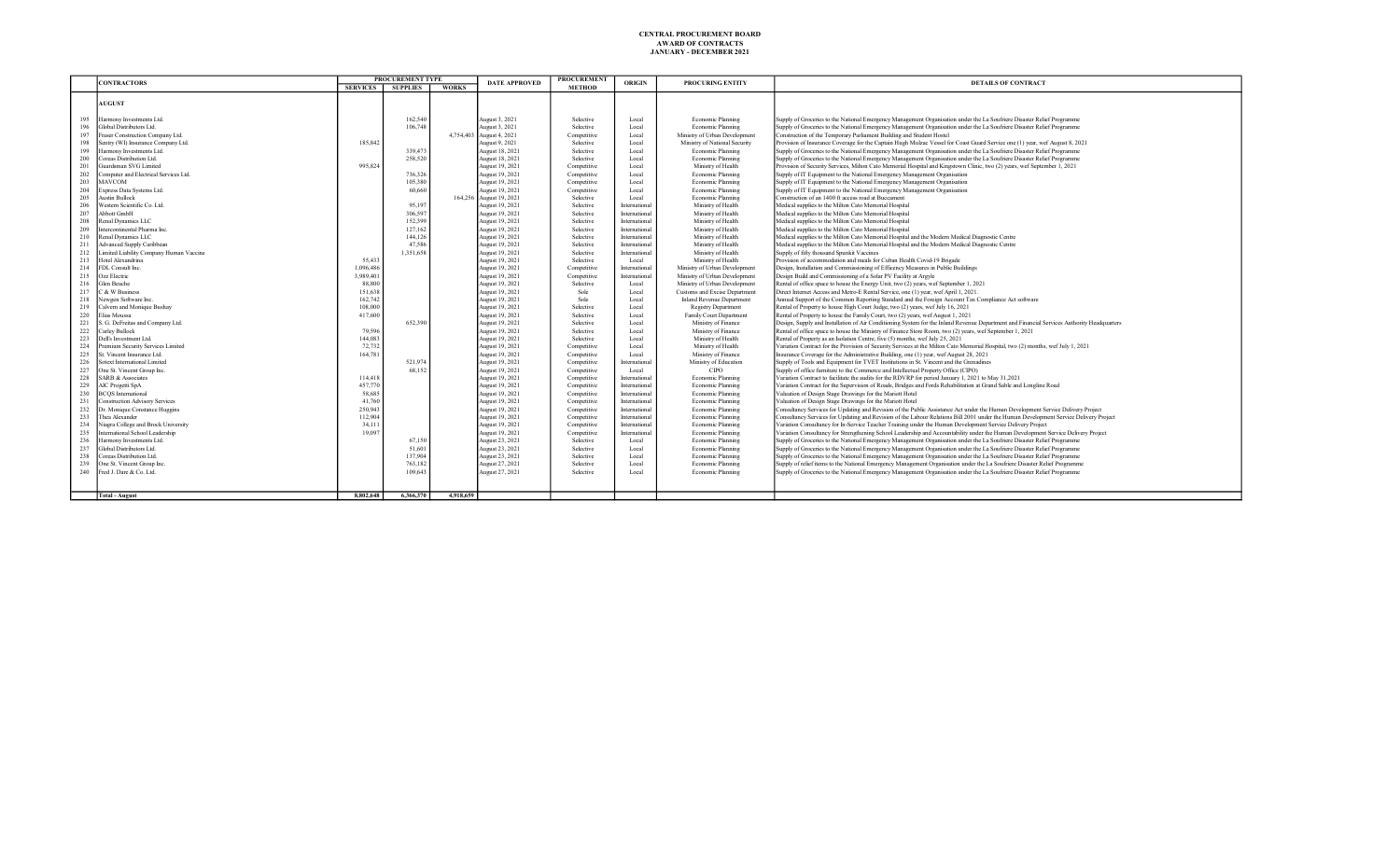|            | <b>CONTRACTORS</b>                                         | <b>PROCUREMENT TYPE</b> |                   | DATE APPROVED | <b>PROCUREMENT</b>                         | ORIGIN                     | <b>PROCURING ENTITY</b> | <b>DETAILS OF CONTRACT</b>                         |                                                                                                                                                                                                |
|------------|------------------------------------------------------------|-------------------------|-------------------|---------------|--------------------------------------------|----------------------------|-------------------------|----------------------------------------------------|------------------------------------------------------------------------------------------------------------------------------------------------------------------------------------------------|
|            |                                                            | <b>SERVICES</b>         | <b>SUPPLIES</b>   | <b>WORKS</b>  |                                            | <b>METHOD</b>              |                         |                                                    |                                                                                                                                                                                                |
|            |                                                            |                         |                   |               |                                            |                            |                         |                                                    |                                                                                                                                                                                                |
|            | <b>AUGUST</b>                                              |                         |                   |               |                                            |                            |                         |                                                    |                                                                                                                                                                                                |
| 195        |                                                            |                         | 162,540           |               |                                            |                            |                         |                                                    |                                                                                                                                                                                                |
| 196        | Harmony Investments Ltd.<br>Global Distributors Ltd.       |                         | 106,748           |               | August 3, 2021                             | Selective<br>Selective     | Local<br>Local          | Economic Planning                                  | Supply of Groceries to the National Emergency Management Organisation under the La Soufriere Disaster Relief Programme                                                                         |
| 197        | Fraser Construction Company Ltd.                           |                         |                   |               | August 3, 2021<br>4,754,403 August 4, 2021 | Competitive                | Local                   | Economic Planning<br>Ministry of Urban Development | Supply of Groceries to the National Emergency Management Organisation under the La Soufriere Disaster Relief Programme<br>Construction of the Temporary Parliament Building and Student Hostel |
| 198        | Sentry (WI) Insurance Company Ltd.                         | 185,842                 |                   |               | August 9, 2021                             | Selective                  | Local                   | Ministry of National Security                      | Provision of Insurance Coverage for the Captain Hugh Mulzac Vessel for Coast Guard Service one (1) year, wef August 8, 2021                                                                    |
| 199        | Harmony Investments Ltd.                                   |                         | 339,473           |               | August 18, 2021                            | Selective                  | Local                   | Economic Planning                                  | Supply of Groceries to the National Emergency Management Organisation under the La Soufriere Disaster Relief Programme                                                                         |
| 200        | Coreas Distribution Ltd.                                   |                         | 258,520           |               | August 18, 2021                            | Selective                  | Local                   | Economic Planning                                  | Supply of Groceries to the National Emergency Management Organisation under the La Soufriere Disaster Relief Programme                                                                         |
| 201        | Guardsman SVG Limited                                      | 995.824                 |                   |               | August 19, 2021                            | Competitive                | Local                   | Ministry of Health                                 | Provision of Security Services, Milton Cato Memorial Hospital and Kingstown Clinic, two (2) years, wef September 1, 2021                                                                       |
| 202        | Computer and Electrical Services Ltd.                      |                         | 736,326           |               | August 19, 2021                            | Competitive                | Local                   | Economic Planning                                  | Supply of IT Equipment to the National Emergency Management Organisation                                                                                                                       |
| 203        | MAVCOM                                                     |                         | 105,380           |               | August 19, 2021                            | Competitive                | Local                   | Economic Planning                                  | Supply of IT Equipment to the National Emergency Management Organisation                                                                                                                       |
| 204        | Express Data Systems Ltd.                                  |                         | 60,660            |               | August 19, 2021                            | Competitive                | Local                   | Economic Planning                                  | Supply of IT Equipment to the National Emergency Management Organisation                                                                                                                       |
| 205        | <b>Austin Bullock</b>                                      |                         |                   |               | 164,256 August 19, 2021                    | Selective                  | Local                   | Economic Planning                                  | Construction of an 1400 ft access road at Buccament                                                                                                                                            |
| 206        | Western Scientific Co. Ltd.                                |                         | 95,197            |               | August 19, 2021                            | Selective                  | International           | Ministry of Health                                 | Medical supplies to the Milton Cato Memorial Hospital                                                                                                                                          |
| 207        | Abbott GmbH                                                |                         | 306.597           |               | August 19, 2021                            | Selective                  | International           | Ministry of Health                                 | Medical supplies to the Milton Cato Memorial Hospital                                                                                                                                          |
| 208        | Renal Dynamics LLC                                         |                         | 152,399           |               | August 19, 2021                            | Selective                  | Internationa            | Ministry of Health                                 | Medical supplies to the Milton Cato Memorial Hospital                                                                                                                                          |
| 209        | Intercontinental Pharma Inc.                               |                         | 127,162           |               | August 19, 2021                            | Selective                  | International           | Ministry of Health                                 | Medical supplies to the Milton Cato Memorial Hospital                                                                                                                                          |
| 210        | Renal Dynamics LLC                                         |                         | 144, 126          |               | August 19, 2021                            | Selective                  | International           | Ministry of Health                                 | Medical supplies to the Milton Cato Memorial Hospital and the Modern Medical Diagnostic Centre                                                                                                 |
| 211        | <b>Advanced Supply Caribbean</b>                           |                         | 47.586            |               | August 19, 2021                            | Selective                  | International           | Ministry of Health                                 | Medical supplies to the Milton Cato Memorial Hospital and the Modern Medical Diagnostic Centre                                                                                                 |
| 212        | Limited Liability Company Human Vaccine                    |                         | 1.351.658         |               | August 19, 2021                            | Selective                  | Internationa            | Ministry of Health                                 | Supply of fifty thousand Spunkit Vaccines                                                                                                                                                      |
| 213        | Hotel Alexandrina                                          | 55,433                  |                   |               | August 19, 2021                            | Selective                  | Local                   | Ministry of Health                                 | Provision of accommodation and meals for Cuban Health Covid-19 Brigade                                                                                                                         |
| 214        | FDL Consult Inc.                                           | 1,096,486               |                   |               | August 19, 2021                            | Competitive                | International           | Ministry of Urban Development                      | Design, Installation and Commissioning of Efficency Measures in Public Buildings                                                                                                               |
| 215        | Ozz Electric                                               | 3.989.401               |                   |               | August 19, 2021                            | Competitive                | Internationa            | Ministry of Urban Development                      | Design Build and Commissioning of a Solar PV Facility at Argyle                                                                                                                                |
| 216        | Glen Beache                                                | 88,800                  |                   |               | August 19, 2021                            | Selective                  | Local                   | Ministry of Urban Development                      | Rental of office space to house the Energy Unit, two (2) years, wef September 1, 2021                                                                                                          |
| 217        | C & W Business                                             | 151,638                 |                   |               | August 19, 2021                            | Sole                       | Local                   | Customs and Excise Department                      | Direct Internet Access and Metro-E Rental Service, one (1) year, wef April 1, 2021.                                                                                                            |
| 218        | Newgen Software Inc.                                       | 162,742                 |                   |               | August 19, 2021                            | Sole                       | Local                   | Inland Revenue Department                          | Annual Support of the Common Reporting Standard and the Foreign Account Tax Compliance Act software                                                                                            |
| 219        | Calvern and Monique Bushay                                 | 108,000                 |                   |               | August 19, 2021                            | Selective                  | Local                   | <b>Registry Department</b>                         | Rental of Property to house High Court Judge, two (2) years, wef July 16, 2021                                                                                                                 |
| 220        | Elias Moussa                                               | 417,600                 |                   |               | August 19, 2021                            | Selective                  | Local                   | Family Court Department                            | Rental of Property to house the Family Court, two (2) years, wef August 1, 2021                                                                                                                |
| 221        | S. G. DeFreitas and Company Ltd.                           |                         | 652.390           |               | August 19, 2021                            | Selective                  | Local                   | Ministry of Finance                                | Design, Supply and Installation of Air Conditioning System for the Inland Revenue Department and Financial Services Authority Headquarters                                                     |
| 222        | Carley Bullock                                             | 79,596                  |                   |               | August 19, 2021                            | Selective                  | Local                   | Ministry of Finance                                | Rental of office space to house the Ministry of Finance Store Room, two (2) years, wef September 1, 2021                                                                                       |
| 223        | Dell's Investment Ltd.                                     | 144,083                 |                   |               | August 19, 2021                            | Selective                  | Local                   | Ministry of Health                                 | Rental of Property as an Isolation Centre, five (5) months, wef July 25, 2021                                                                                                                  |
| 224        | Premium Security Services Limited                          | 72,732                  |                   |               | August 19, 2021                            | Competitive                | Local                   | Ministry of Health                                 | Variation Contract for the Provision of Security Services at the Milton Cato Memorial Hospital, two (2) months, wef July 1, 2021                                                               |
| 225        | St. Vincent Insurance Ltd.<br>Sotext International Limited | 164,781                 |                   |               | August 19, 2021                            | Competitive                | Local<br>Internationa   | Ministry of Finance                                | Insurance Coverage for the Administrative Building, one (1) year, wef August 28, 2021                                                                                                          |
| 226        | One St. Vincent Group Inc.                                 |                         | 521,974<br>68.152 |               | August 19, 2021                            | Competitive                |                         | Ministry of Education                              | Supply of Tools and Equipment for TVET Institutions in St. Vincent and the Grenadines                                                                                                          |
| 227<br>228 | <b>SARB &amp; Associates</b>                               | 114,418                 |                   |               | August 19, 2021<br>August 19, 2021         | Competitive                | Local<br>International  | CIPO<br>Economic Planning                          | Supply of office furniture to the Commerce and Intellectual Property Office (CIPO)<br>Variation Contract to facilitate the audits for the RDVRP for period January 1, 2021 to May 31,2021      |
| 229        | AIC Progetti SpA                                           | 457,770                 |                   |               | August 19, 2021                            | Competitive<br>Competitive | International           | Economic Planning                                  | Variation Contract for the Supervision of Roads, Bridges and Fords Rehabilitation at Grand Sable and Longline Road                                                                             |
| 230        | <b>BCOS</b> International                                  | 58,685                  |                   |               | August 19, 2021                            | Competitive                | International           | Economic Planning                                  | Valuation of Design Stage Drawings for the Mariott Hotel                                                                                                                                       |
| 231        | <b>Construction Advisory Services</b>                      | 41,760                  |                   |               | August 19, 2021                            | Competitive                | International           | Economic Planning                                  | Valuation of Design Stage Drawings for the Mariott Hotel                                                                                                                                       |
| 232        | Dr. Monique Constance Huggins                              | 250,943                 |                   |               | August 19, 2021                            | Competitive                | International           | Economic Planning                                  | Consultancy Services for Updating and Revision of the Public Assistance Act under the Human Development Service Delivery Project                                                               |
| 233        | Thea Alexander                                             | 112,904                 |                   |               | August 19, 2021                            | Competitive                | International           | Economic Planning                                  | Consultancy Services for Updating and Revision of the Labour Relations Bill 2001 under the Human Development Service Delivery Project                                                          |
| 234        | Niagra College and Brock University                        | 34,111                  |                   |               | August 19, 2021                            | Competitive                | International           | Economic Planning                                  | Variation Consultancy for In-Service Teacher Training under the Human Development Service Delivery Project                                                                                     |
| 235        | International School Leadership                            | 19,097                  |                   |               | August 19, 2021                            | Competitive                | International           | Economic Planning                                  | Variation Consultancy for Strengthening School Leadership and Accountability under the Human Development Service Delivery Project                                                              |
| 236        | Harmony Investments Ltd.                                   |                         | 67,150            |               | August 23, 2021                            | Selective                  | Local                   | Economic Planning                                  | Supply of Groceries to the National Emergency Management Organisation under the La Soufriere Disaster Relief Programme                                                                         |
| 237        | Global Distributors Ltd.                                   |                         | 51,601            |               | August 23, 2021                            | Selective                  | Local                   | Economic Planning                                  | Supply of Groceries to the National Emergency Management Organisation under the La Soufriere Disaster Relief Programme                                                                         |
| 238        | Coreas Distribution Ltd.                                   |                         | 137,904           |               | August 23, 2021                            | Selective                  | Local                   | Economic Planning                                  | Supply of Groceries to the National Emergency Management Organisation under the La Soufriere Disaster Relief Programme                                                                         |
| 239        | One St. Vincent Group Inc.                                 |                         | 763.182           |               | August 27, 2021                            | Selective                  | Local                   | Economic Planning                                  | Supply of relief items to the National Emergency Management Organisation under the La Soufriere Disaster Relief Programme                                                                      |
| 240        | Fred J. Dare & Co. Ltd.                                    |                         | 109,643           |               | August 27, 2021                            | Selective                  | Local                   | Economic Planning                                  | Supply of Groceries to the National Emergency Management Organisation under the La Soufriere Disaster Relief Programme                                                                         |
|            |                                                            |                         |                   |               |                                            |                            |                         |                                                    |                                                                                                                                                                                                |
|            |                                                            |                         |                   |               |                                            |                            |                         |                                                    |                                                                                                                                                                                                |
|            | <b>Total - August</b>                                      | 8,802,648               | 6,366,370         | 4,918,659     |                                            |                            |                         |                                                    |                                                                                                                                                                                                |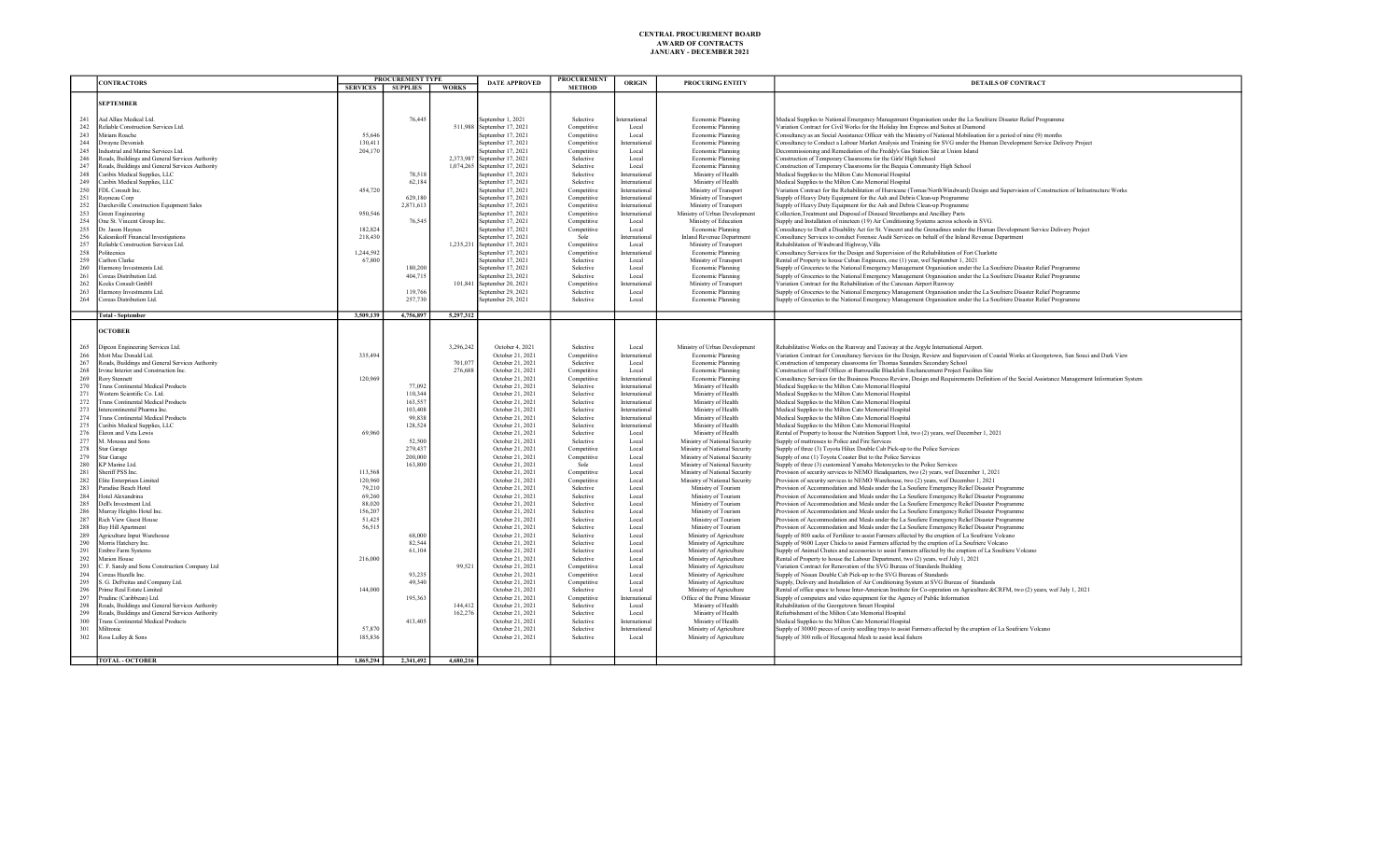|            | PROCUREMENT TYPE<br><b>CONTRACTORS</b>          |                   | <b>DATE APPROVED</b> | <b>PROCUREMENT</b><br>ORIGIN |                              | <b>PROCURING ENTITY</b>                  | <b>DETAILS OF CONTRACT</b> |                                  |                                                                                                                                                                                                                                                  |
|------------|-------------------------------------------------|-------------------|----------------------|------------------------------|------------------------------|------------------------------------------|----------------------------|----------------------------------|--------------------------------------------------------------------------------------------------------------------------------------------------------------------------------------------------------------------------------------------------|
|            |                                                 | SERVICES SUPPLIES |                      | <b>WORKS</b>                 |                              | <b>METHOD</b>                            |                            |                                  |                                                                                                                                                                                                                                                  |
|            |                                                 |                   |                      |                              |                              |                                          |                            |                                  |                                                                                                                                                                                                                                                  |
|            | <b>SEPTEMBER</b>                                |                   |                      |                              |                              |                                          |                            |                                  |                                                                                                                                                                                                                                                  |
|            |                                                 |                   |                      |                              |                              |                                          |                            |                                  |                                                                                                                                                                                                                                                  |
| 241        | Aid Allies Medical Ltd.                         |                   | 76,445               |                              | September 1, 2021            | Selective                                | ternational                | Economic Planning                | Medical Supplies to National Emergency Management Organisation under the La Soufriere Disaster Relief Programme                                                                                                                                  |
| 242        | Reliable Construction Services Ltd.             |                   |                      | 511,988                      | September 17, 2021           | Competitive                              | Local                      | Economic Planning                | Variation Contract for Civil Works for the Holiday Inn Express and Suites at Diamond                                                                                                                                                             |
| 243        | Miriam Roache                                   | 55,646            |                      |                              | September 17, 2021           | Competitive                              | Local                      | Economic Planning                | Consultancy as an Social Assistance Officer with the Ministry of National Mobilisation for a period of nine (9) months                                                                                                                           |
| 244        | Dwayne Devonish                                 | 130,411           |                      |                              | September 17, 2021           | Competitive                              | International              | Economic Planning                | Consultancy to Conduct a Labour Market Analysis and Training for SVG under the Human Development Service Delivery Project                                                                                                                        |
| 245        | Industrial and Marine Services Ltd.             | 204,170           |                      |                              | September 17, 2021           | Competitive                              | Local                      | Economic Planning                | Decommissioning and Remediation of the Freddy's Gas Station Site at Union Island                                                                                                                                                                 |
| 246        | Roads, Buildings and General Services Authority |                   |                      |                              | 2.373.987 September 17, 2021 | Selective                                | Local                      | Economic Planning                | Construction of Temporary Classrooms for the Girls' High School                                                                                                                                                                                  |
| 247        | Roads, Buildings and General Services Authority |                   |                      |                              | 1,074,265 September 17, 2021 | Selective                                | Local                      | Economic Planning                | Construction of Temporary Classrooms for the Bequia Community High School                                                                                                                                                                        |
| 248        | Caribix Medical Supplies, LLC                   |                   | 78.518               |                              | September 17, 2021           | Selective                                | International              | Ministry of Health               | Medical Supplies to the Milton Cato Memorial Hospital                                                                                                                                                                                            |
| 249        | Caribix Medical Supplies, LLC                   |                   | 62,184               |                              | September 17, 2021           | Selective                                | International              | Ministry of Health               | Medical Supplies to the Milton Cato Memorial Hospital                                                                                                                                                                                            |
| 250        | FDL Consult Inc.                                | 454,720           |                      |                              | September 17, 2021           | Competitive                              | International              | Ministry of Transport            | Variation Contract for the Rehabilitation of Hurricane (Tomas/NorthWindward) Design and Supervision of Construction of Infrastructure Works                                                                                                      |
| 251        | Rayneau Corp                                    |                   | 629,180              |                              | September 17, 2021           | Competitive                              | International              | Ministry of Transport            | Supply of Heavy Duty Equipment for the Ash and Debris Clean-up Programme                                                                                                                                                                         |
| 252        | Darcheville Construction Equipment Sales        |                   | 2,871,613            |                              | September 17, 2021           | Competitive                              | International              | Ministry of Transport            | Supply of Heavy Duty Equipment for the Ash and Debris Clean-up Programme                                                                                                                                                                         |
| 253        | Green Engineering                               | 950,546           |                      |                              | September 17, 2021           | Competitive                              | International              | Ministry of Urban Development    | Collection, Treatment and Disposal of Disused Streetlamps and Ancillary Parts                                                                                                                                                                    |
| 254        | One St. Vincent Group Inc.                      |                   | 76,545               |                              | September 17, 2021           | Competitive                              | Local                      | Ministry of Education            | Supply and Installation of nineteen (19) Air Conditioning Systems across schools in SVG.                                                                                                                                                         |
| 255        | Dr. Jason Haynes                                | 182,824           |                      |                              | September 17, 2021           | Competitive                              | Local                      | Economic Planning                | Consultancy to Draft a Disability Act for St. Vincent and the Grenadines under the Human Development Service Delivery Project                                                                                                                    |
| 256        | Kalesnikoff Financial Investigations            | 218,430           |                      |                              | September 17, 2021           | Sole                                     | International              | <b>Inland Revenue Department</b> | Consultancy Services to conduct Forensic Audit Services on behalf of the Inland Revenue Department                                                                                                                                               |
| 257        | Reliable Construction Services Ltd.             |                   |                      |                              | 1,235,231 September 17, 2021 | Competitive                              | Local                      | Ministry of Transport            | Rehabilitation of Windward Highway, Villa                                                                                                                                                                                                        |
| 258        | Politecnica                                     | 1,244,592         |                      |                              | September 17, 2021           | Competitive                              | International              | Economic Planning                | Consultancy Services for the Design and Supervision of the Rehabilitation of Fort Charlotte                                                                                                                                                      |
| 259        | Carlton Clarke                                  | 67,800            |                      |                              | September 17, 2021           | Selective                                | Local                      | Ministry of Transport            | Rental of Property to house Cuban Engineers, one (1) year, wef September 1, 2021                                                                                                                                                                 |
|            | Harmony Investments Ltd.                        |                   |                      |                              | September 17, 2021           |                                          |                            |                                  |                                                                                                                                                                                                                                                  |
| 260<br>261 | Coreas Distribution Ltd.                        |                   | 180,200<br>404,715   |                              | September 23, 2021           | Selective<br>Selective                   | Local<br>Local             | Economic Planning                | Supply of Groceries to the National Emergency Management Organisation under the La Soufriere Disaster Relief Programme<br>Supply of Groceries to the National Emergency Management Organisation under the La Soufriere Disaster Relief Programme |
| 262        | Kocks Consult GmbH                              |                   |                      | 101,841                      | September 20, 2021           |                                          | Internationa               | Economic Planning                | Variation Contract for the Rehabilitation of the Canouan Airport Runway                                                                                                                                                                          |
| 263        |                                                 |                   |                      |                              |                              | Competitive                              | Local                      | Ministry of Transport            |                                                                                                                                                                                                                                                  |
|            | Harmony Investments Ltd.                        |                   | 119,766              |                              | September 29, 2021           | Selective                                |                            | Economic Planning                | Supply of Groceries to the National Emergency Management Organisation under the La Soufriere Disaster Relief Programme                                                                                                                           |
| 264        | Coreas Distribution Ltd.                        |                   | 257,730              |                              | September 29, 2021           | Selective                                | Local                      | Economic Planning                | Supply of Groceries to the National Emergency Management Organisation under the La Soufriere Disaster Relief Programme                                                                                                                           |
|            | <b>Total - September</b>                        | 3,509,139         | 4,756,897            |                              |                              |                                          |                            |                                  |                                                                                                                                                                                                                                                  |
|            |                                                 |                   |                      | 5,297,312                    |                              |                                          |                            |                                  |                                                                                                                                                                                                                                                  |
|            | <b>OCTOBER</b>                                  |                   |                      |                              |                              |                                          |                            |                                  |                                                                                                                                                                                                                                                  |
|            |                                                 |                   |                      |                              |                              |                                          |                            |                                  |                                                                                                                                                                                                                                                  |
|            |                                                 |                   |                      |                              |                              |                                          |                            |                                  |                                                                                                                                                                                                                                                  |
| 265        | Dipcon Engineering Services Ltd.                |                   |                      | 3,296,242                    | October 4, 2021              | Selective                                | Local                      | Ministry of Urban Development    | Rehabilitative Works on the Runway and Taxiway at the Argyle International Airport.                                                                                                                                                              |
| 266        | Mott Mac Donald Ltd.                            | 335,494           |                      |                              | October 21, 2021             | Competitive                              | International              | Economic Planning                | Variation Contract for Consultancy Services for the Design, Review and Supervision of Coastal Works at Georgetown, San Souci and Dark View                                                                                                       |
| 267        | Roads, Buildings and General Services Authority |                   |                      | 701.077                      | October 21, 2021             | Selective                                | Local                      | Economic Planning                | Construction of temporary classrooms for Thomas Saunders Secondary School                                                                                                                                                                        |
| 268        | Irvine Interior and Construction Inc.           |                   |                      | 276,688                      | October 21, 2021             | Competitive                              | Local                      | Economic Planning                | Construction of Staff Offices at Barrouallie Blackfish Enchancement Project Facilites Site                                                                                                                                                       |
| 269        | <b>Rory Stennett</b>                            | 120,969           |                      |                              | October 21, 2021             | Competitive                              | International              | Economic Planning                | Consultancy Services for the Business Process Review, Design and Requirements Definition of the Social Assistance Management Information System                                                                                                  |
| 270        | <b>Trans Continental Medical Products</b>       |                   | 77,092               |                              | October 21, 2021             | Selective                                | International              | Ministry of Health               | Medical Supplies to the Milton Cato Memorial Hospital                                                                                                                                                                                            |
| 271        | Western Scientific Co. Ltd.                     |                   | 110,344              |                              | October 21, 2021             | Selective                                | International              | Ministry of Health               | Medical Supplies to the Milton Cato Memorial Hospital                                                                                                                                                                                            |
| 272        | <b>Trans Continental Medical Products</b>       |                   | 163,557              |                              | October 21, 2021             | Selective                                | International              | Ministry of Health               | Medical Supplies to the Milton Cato Memorial Hospital                                                                                                                                                                                            |
| 273        | Intercontinental Pharma Inc.                    |                   | 103,408              |                              | October 21, 2021             | Selective                                | International              | Ministry of Health               | Medical Supplies to the Milton Cato Memorial Hospital                                                                                                                                                                                            |
| 274        | <b>Trans Continental Medical Products</b>       |                   | 99,838               |                              | October 21, 2021             | Selective                                | International              | Ministry of Health               | Medical Supplies to the Milton Cato Memorial Hospital                                                                                                                                                                                            |
| 275        | Caribix Medical Supplies, LLC                   |                   | 128,524              |                              | October 21, 2021             | Selective                                | International              | Ministry of Health               | Medical Supplies to the Milton Cato Memorial Hospital                                                                                                                                                                                            |
| 276        | Ekron and Veta Lewis                            | 69,960            |                      |                              | October 21, 2021             | Selective                                | Local                      | Ministry of Health               | Rental of Property to house the Nutrition Support Unit, two (2) years, wef December 1, 2021                                                                                                                                                      |
| 277        | M. Moussa and Sons                              |                   | 52,500               |                              | October 21, 2021             | Selective                                | Local                      | Ministry of National Security    | Supply of mattresses to Police and Fire Services                                                                                                                                                                                                 |
| 278        | <b>Star Garage</b>                              |                   | 279,437              |                              | October 21, 2021             | Competitive                              | Local                      | Ministry of National Security    | Supply of three (3) Toyota Hilux Double Cab Pick-up to the Police Services                                                                                                                                                                       |
| 279        | <b>Star Garage</b>                              |                   | 200,000              |                              | October 21, 2021             | Competitive                              | Local                      | Ministry of National Security    | Supply of one (1) Toyota Coaster But to the Police Services                                                                                                                                                                                      |
| 280        | KP Marine Ltd.                                  |                   | 163,800              |                              | October 21, 2021             | Sole                                     | Local                      | Ministry of National Security    | Supply of three (3) customized Yamaha Motorcycles to the Police Services                                                                                                                                                                         |
| 281        | Sheriff PSS Inc                                 | 113,568           |                      |                              | October 21, 2021             | Competitive                              | Local                      | Ministry of National Security    | Provision of security services to NEMO Headquarters, two (2) years, wef December 1, 2021                                                                                                                                                         |
| 282        | Elite Enterprises Limited                       | 120,960           |                      |                              | October 21, 2021             | $\label{eq:complete} \text{Competitive}$ | Local                      | Ministry of National Security    | Provision of security services to NEMO Warehouse, two (2) years, wef December 1, 2021                                                                                                                                                            |
| 283        | Paradise Beach Hotel                            | 79,210            |                      |                              | October 21, 2021             | Selective                                | Local                      | Ministry of Tourism              | Provision of Accommodation and Meals under the La Soufiere Emergency Relief Disaster Programme                                                                                                                                                   |
| 284        | Hotel Alexandrina                               | 69.260            |                      |                              | October 21, 2021             | Selective                                | Local                      | Ministry of Tourism              | Provision of Accommodation and Meals under the La Soufiere Emergency Relief Disaster Programme                                                                                                                                                   |
| 285        | Dell's Investment Ltd.                          | 88,020            |                      |                              | October 21, 2021             | Selective                                | Local                      | Ministry of Tourism              | Provision of Accommodation and Meals under the La Soufiere Emergency Relief Disaster Programme                                                                                                                                                   |
| 286        | Murray Heights Hotel Inc                        | 156,207           |                      |                              | October 21, 2021             | Selective                                | Local                      | Ministry of Tourism              | Provision of Accommodation and Meals under the La Soufiere Emergency Relief Disaster Programme                                                                                                                                                   |
| 287        | <b>Rich View Guest House</b>                    | 51,425            |                      |                              | October 21, 2021             | Selective                                | Local                      | Ministry of Tourism              | Provision of Accommodation and Meals under the La Soufiere Emergency Relief Disaster Programme                                                                                                                                                   |
| 288        | <b>Bay Hill Apartment</b>                       | 56.515            |                      |                              | October 21, 2021             | Selective                                | Local                      | Ministry of Tourism              | Provision of Accommodation and Meals under the La Soufiere Emergency Relief Disaster Programme                                                                                                                                                   |
| 289        | Agriculture Input Warehouse                     |                   | 68,000               |                              | October 21, 2021             | Selective                                | Local                      |                                  | Supply of 800 sacks of Fertilizer to assist Farmers affected by the eruption of La Soufriere Volcano                                                                                                                                             |
|            | Morris Hatchery Inc.                            |                   | 82,544               |                              |                              |                                          |                            | Ministry of Agriculture          | Supply of 9600 Layer Chicks to assist Farmers affected by the eruption of La Soufriere Volcano                                                                                                                                                   |
| 290        |                                                 |                   |                      |                              | October 21, 2021             | Selective                                | Local                      | Ministry of Agriculture          |                                                                                                                                                                                                                                                  |
| 291        | Embro Farm Systems                              |                   | 61,104               |                              | October 21, 2021             | Selective                                | Local                      | Ministry of Agriculture          | Supply of Animal Chutes and accessories to assist Farmers affected by the eruption of La Soufriere Volcano                                                                                                                                       |
| 292        | Marion House                                    | 216,000           |                      |                              | October 21, 2021             | Selective                                | Local                      | Ministry of Agriculture          | Rental of Property to house the Labour Department, two (2) years, wef July 1, 2021                                                                                                                                                               |
| 293        | C. F. Sandy and Sons Construction Company Ltd   |                   |                      | 99,521                       | October 21, 2021             | Competitive                              | Local                      | Ministry of Agriculture          | Variation Contract for Renovation of the SVG Bureau of Standards Building                                                                                                                                                                        |
| 294        | Coreas Hazells Inc.                             |                   | 93,235               |                              | October 21, 2021             | Competitive                              | Local                      | Ministry of Agriculture          | Supply of Nissan Double Cab Pick-up to the SVG Bureau of Standards                                                                                                                                                                               |
| 295        | S. G. DeFreitas and Company Ltd.                |                   | 49,340               |                              | October 21, 2021             | Competitive                              | Local                      | Ministry of Agriculture          | Supply, Delivery and Installation of Air Conditioning System at SVG Bureau of Standards                                                                                                                                                          |
| 296        | Prime Real Estate Limited                       | 144,000           |                      |                              | October 21, 2021             | Selective                                | Local                      | Ministry of Agriculture          | Rental of office space to house Inter-American Institute for Co-operation on Agriculture &CRFM, two (2) years, wef July 1, 2021                                                                                                                  |
| 297        | Prudinc (Caribbean) Ltd.                        |                   | 195,363              |                              | October 21, 2021             | Competitive                              | Internationa               | Office of the Prime Minister     | Supply of computers and video equipment for the Agency of Public Information                                                                                                                                                                     |
| 298        | Roads, Buildings and General Services Authority |                   |                      | 144,412                      | October 21, 2021             | Selective                                | Local                      | Ministry of Health               | Rehabilitation of the Georgetown Smart Hospital                                                                                                                                                                                                  |
| 299        | Roads, Buildings and General Services Authority |                   |                      | 162.276                      | October 21, 2021             | Selective                                | Local                      | Ministry of Health               | Refurbishment of the Milton Cato Memorial Hospital                                                                                                                                                                                               |
| 300        | <b>Trans Continental Medical Products</b>       |                   | 413,405              |                              | October 21, 2021             | Selective                                | Internationa               | Ministry of Health               | Medical Supplies to the Milton Cato Memorial Hospital                                                                                                                                                                                            |
| 301        | Miltronic                                       | 57,870            |                      |                              | October 21, 2021             | Selective                                | Internationa               | Ministry of Agriculture          | Supply of 30000 pieces of cavity seedling trays to assist Farmers affected by the eruption of La Soufriere Volcano                                                                                                                               |
| 302        | Ross Lulley & Sons                              | 185,836           |                      |                              | October 21, 2021             | Selective                                | Local                      | Ministry of Agriculture          | Supply of 300 rolls of Hexagonal Mesh to assist local fishers                                                                                                                                                                                    |
|            |                                                 |                   |                      |                              |                              |                                          |                            |                                  |                                                                                                                                                                                                                                                  |
|            |                                                 |                   |                      |                              |                              |                                          |                            |                                  |                                                                                                                                                                                                                                                  |
|            | <b>TOTAL - OCTOBER</b>                          | 1.865.294         | 2,341,492            | 4,680,216                    |                              |                                          |                            |                                  |                                                                                                                                                                                                                                                  |
|            |                                                 |                   |                      |                              |                              |                                          |                            |                                  |                                                                                                                                                                                                                                                  |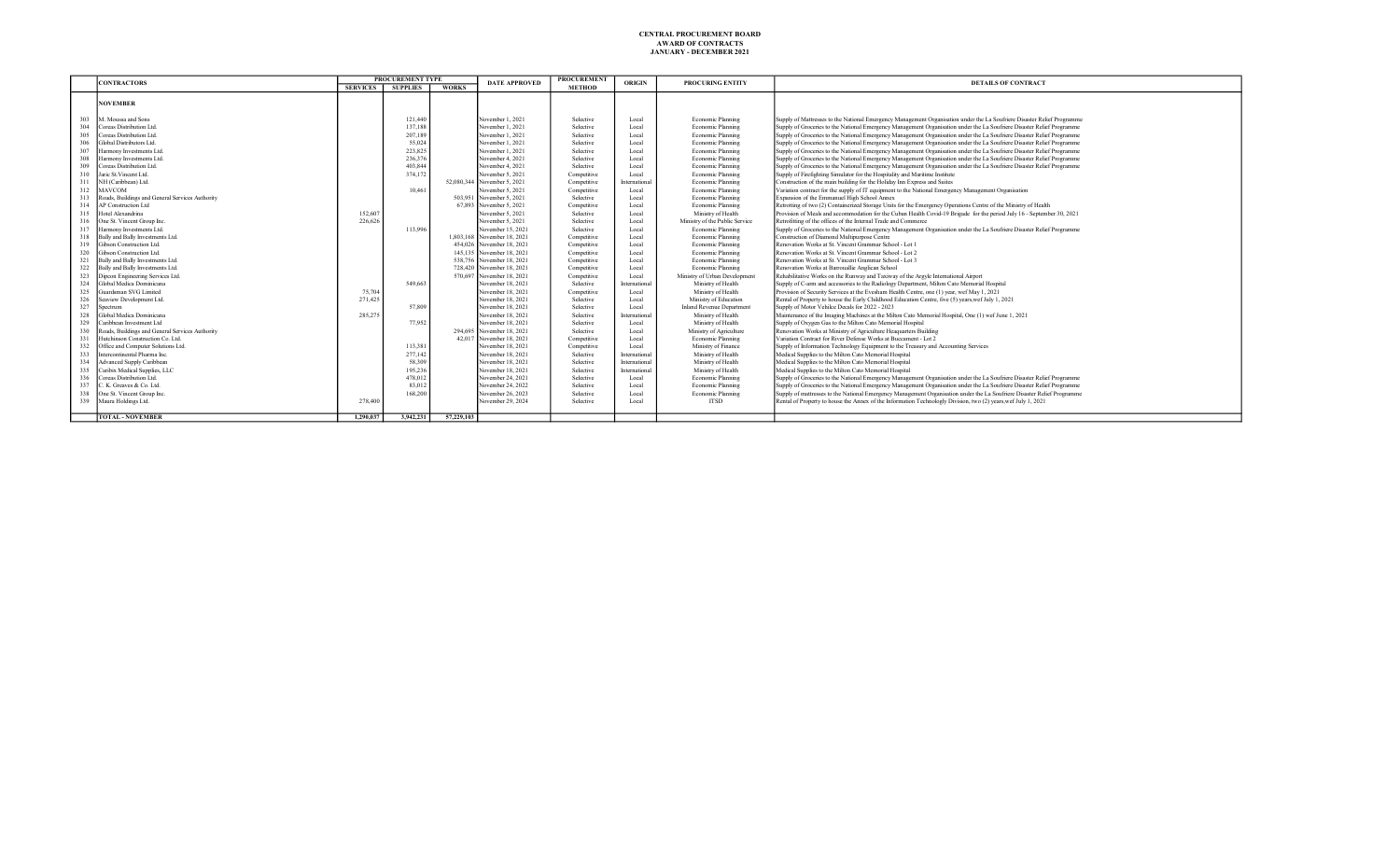|     | <b>CONTRACTORS</b>                              |                 | <b>PROCUREMENT TYPE</b> |              | <b>DATE APPROVED</b>        | <b>PROCUREMENT</b> | ORIGIN        | PROCURING ENTITY                 | <b>DETAILS OF CONTRACT</b>                                                                                              |
|-----|-------------------------------------------------|-----------------|-------------------------|--------------|-----------------------------|--------------------|---------------|----------------------------------|-------------------------------------------------------------------------------------------------------------------------|
|     |                                                 | <b>SERVICES</b> | <b>SUPPLIES</b>         | <b>WORKS</b> |                             | <b>METHOD</b>      |               |                                  |                                                                                                                         |
|     | <b>NOVEMBER</b>                                 |                 |                         |              |                             |                    |               |                                  |                                                                                                                         |
| 303 | M. Moussa and Sons                              |                 | 121,440                 |              | November 1, 2021            | Selective          | Local         | Economic Planning                | Supply of Mattresses to the National Emergency Management Organisation under the La Soufriere Disaster Relief Programme |
| 304 | Coreas Distribution Ltd.                        |                 | 137.188                 |              | November 1, 2021            | Selective          | Local         | Economic Planning                | Supply of Groceries to the National Emergency Management Organisation under the La Soufriere Disaster Relief Programme  |
| 305 | Coreas Distribution Ltd.                        |                 | 207,189                 |              | November 1, 2021            | Selective          | Local         | Economic Planning                | Supply of Groceries to the National Emergency Management Organisation under the La Soufriere Disaster Relief Programme  |
| 306 | Global Distributors Ltd.                        |                 | 55,024                  |              | November 1, 2021            | Selective          | Local         | Economic Planning                | Supply of Groceries to the National Emergency Management Organisation under the La Soufriere Disaster Relief Programme  |
| 307 | Harmony Investments Ltd.                        |                 | 223,825                 |              | November 1, 2021            | Selective          | Local         | Economic Planning                | Supply of Groceries to the National Emergency Management Organisation under the La Soufriere Disaster Relief Programme  |
| 308 | Harmony Investments Ltd.                        |                 | 236,376                 |              | November 4, 2021            | Selective          | Local         | Economic Planning                | Supply of Groceries to the National Emergency Management Organisation under the La Soufriere Disaster Relief Programme  |
| 309 | Coreas Distribution Ltd.                        |                 | 403,844                 |              | November 4, 2021            | Selective          | Local         | Economic Planning                | Supply of Groceries to the National Emergency Management Organisation under the La Soufriere Disaster Relief Programme  |
| 310 | Jaric St.Vincent Ltd.                           |                 | 374,172                 |              | November 5, 2021            | Competitive        | Local         | Economic Planning                | Supply of Firefighting Simulator for the Hospitality and Maritime Institute                                             |
| 311 | NH (Caribbean) Ltd.                             |                 |                         |              | 52,080,344 November 5, 2021 | Competitive        | Internationa  | Economic Planning                | Construction of the main building for the Holiday Inn Express and Suites                                                |
| 312 | MAVCOM                                          |                 | 10.461                  |              | November 5, 2021            | Competitive        | Local         | Economic Planning                | Variation contract for the supply of IT equipment to the National Emergency Management Organisation                     |
| 313 | Roads, Buildings and General Services Authority |                 |                         |              | 503,951 November 5, 2021    | Selective          | Local         | Economic Planning                | Expansion of the Emmanuel High School Annex                                                                             |
| 314 | AP Construction Ltd                             |                 |                         |              | 67.893 November 5, 2021     | Competitive        | Local         | Economic Planning                | Retrotting of two (2) Containerized Storage Units for the Emergency Operations Centre of the Ministry of Health         |
| 315 | Hotel Alexandrina                               | 152,607         |                         |              | November 5, 2021            | Selective          | Local         | Ministry of Health               | Provision of Meals and accommodation for the Cuban Health Covid-19 Brigade for the period July 16 - September 30, 2021  |
| 316 | One St. Vincent Group Inc.                      | 226.626         |                         |              | November 5, 2021            | Selective          | Local         | Ministry of the Public Service   | Retrofitting of the offices of the Internal Trade and Commerce                                                          |
| 317 | Harmony Investments Ltd.                        |                 | 113,996                 |              | November 15, 2021           | Selective          | Local         | Economic Planning                | Supply of Groceries to the National Emergency Management Organisation under the La Soufriere Disaster Relief Programme  |
| 318 | Bally and Bally Investments Ltd.                |                 |                         |              | 1,803.168 November 18, 2021 | Competitive        | Local         | Economic Planning                | Construction of Diamond Multipurpose Centre                                                                             |
| 319 | Gibson Construction Ltd.                        |                 |                         |              | 454,026 November 18, 2021   | Competitive        | Local         | Economic Planning                | Renovation Works at St. Vincent Grammar School - Lot 1                                                                  |
| 320 | Gibson Construction Ltd.                        |                 |                         |              | 145,135 November 18, 2021   | Competitive        | Local         | Economic Planning                | Renovation Works at St. Vincent Grammar School - Lot 2                                                                  |
| 321 | Bally and Bally Investments Ltd.                |                 |                         |              | 538,756 November 18, 2021   | Competitive        | Local         | Economic Planning                | Renovation Works at St. Vincent Grammar School - Lot 3                                                                  |
| 322 | Bally and Bally Investments Ltd.                |                 |                         |              | 728,420 November 18, 2021   | Competitive        | Local         | Economic Planning                | Renovation Works at Barrouallie Anglican School                                                                         |
| 323 | Dipcon Engineering Services Ltd.                |                 |                         |              | 570,697 November 18, 2021   | Competitive        | Local         | Ministry of Urban Development    | Rehabilitative Works on the Runway and Taxiway of the Argyle International Airport                                      |
| 324 | Global Medica Dominicana                        |                 | 549,663                 |              | November 18, 2021           | Selective          | Internationa  | Ministry of Health               | Supply of C-arm and accessories to the Radiology Department, Milton Cato Memorial Hospital                              |
| 325 | Guardsman SVG Limited                           | 75,704          |                         |              | November 18, 2021           | Competitive        | Local         | Ministry of Health               | Provision of Security Services at the Evesham Health Centre, one (1) year, wef May 1, 2021                              |
| 326 | Seaview Development Ltd.                        | 271.425         |                         |              | November 18, 2021           | Selective          | Local         | Ministry of Education            | Rental of Property to house the Early Childhood Education Centre, five (5) years, wef July 1, 2021                      |
| 327 | Spectrum                                        |                 | 57,809                  |              | November 18, 2021           | Selective          | Local         | <b>Inland Revenue Department</b> | Supply of Motor Vehilce Decals for 2022 - 2023                                                                          |
| 328 | Global Medica Dominicana                        | 285,275         |                         |              | November 18, 2021           | Selective          | Internationa  | Ministry of Health               | Maintenance of the Imaging Machines at the Milton Cato Memorial Hospital, One (1) wef June 1, 2021                      |
| 329 | Caribbean Investment Ltd                        |                 | 77,952                  |              | November 18, 2021           | Selective          | Local         | Ministry of Health               | Supply of Oxygen Gas to the Milton Cato Memorial Hospital                                                               |
| 330 | Roads, Buildings and General Services Authority |                 |                         |              | 294,695 November 18, 2021   | Selective          | Local         | Ministry of Agriculture          | Renovation Works at Ministry of Agriculture Heaquarters Building                                                        |
| 331 | Hutchinson Construction Co. Ltd.                |                 |                         |              | 42.017 November 18, 2021    | Competitive        | Local         | Economic Planning                | Variation Contract for River Defense Works at Buccament - Lot 2                                                         |
| 332 | Office and Computer Solutions Ltd.              |                 | 113,381                 |              | November 18, 2021           | Competitive        | Local         | Ministry of Finance              | Supply of Information Technology Equipment to the Treasury and Accounting Services                                      |
| 333 | Intercontinental Pharma Inc.                    |                 | 277,142                 |              | November 18, 2021           | Selective          | Internationa  | Ministry of Health               | Medical Supplies to the Milton Cato Memorial Hospital                                                                   |
| 334 | Advanced Supply Caribbean                       |                 | 58,309                  |              | November 18, 2021           | Selective          | International | Ministry of Health               | Medical Supplies to the Milton Cato Memorial Hospital                                                                   |
| 335 | Caribix Medical Supplies, LLC                   |                 | 195,236                 |              | November 18, 2021           | Selective          | International | Ministry of Health               | Medical Supplies to the Milton Cato Memorial Hospital                                                                   |
| 336 | Coreas Distribution Ltd.                        |                 | 478,012                 |              | November 24, 2021           | Selective          | Local         | Economic Planning                | Supply of Groceries to the National Emergency Management Organisation under the La Soufriere Disaster Relief Programme  |
| 337 | C. K. Greaves & Co. Ltd.                        |                 | 83,012                  |              | November 24, 2022           | Selective          | Local         | Economic Planning                | Supply of Groceries to the National Emergency Management Organisation under the La Soufriere Disaster Relief Programme  |
| 338 | One St. Vincent Group Inc.                      |                 | 168,200                 |              | November 26, 2023           | Selective          | Local         | Economic Planning                | Supply of mattresses to the National Emergency Management Organisation under the La Soufriere Disaster Relief Programme |
|     | 339 Maura Holdings Ltd.                         | 278,400         |                         |              | November 29, 2024           | Selective          | Local         | <b>ITSD</b>                      | Rental of Property to house the Annex of the Information Technologly Division, two (2) years, wef July 1, 2021          |
|     | TOTAL - NOVEMBER                                | 1.290.037       | 3,942,231               | 57,229,103   |                             |                    |               |                                  |                                                                                                                         |
|     |                                                 |                 |                         |              |                             |                    |               |                                  |                                                                                                                         |